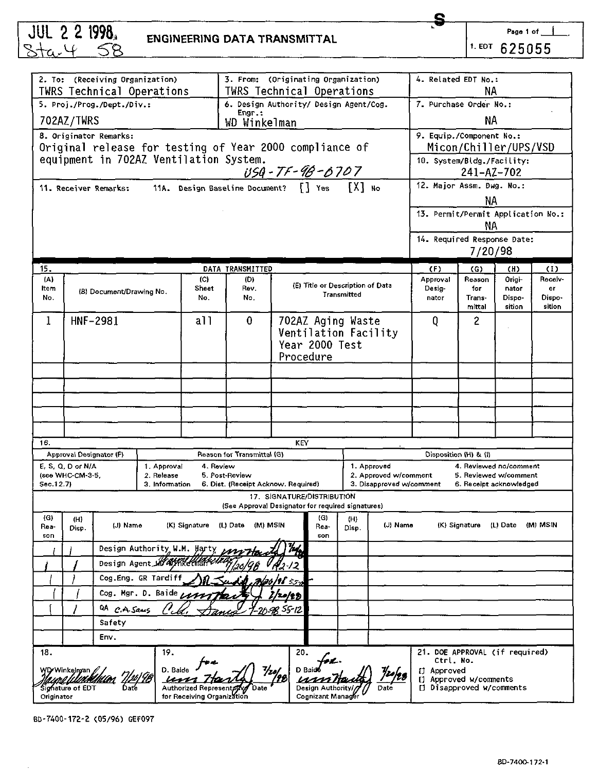Page 1 of 1 1. EDT 625055

Ş

|                                                                                                                                              |                                                                                               |                                                                          |                                        |                                  |                                                                  |                                             | 1. EDT                                                                     | 625055                    |                  |
|----------------------------------------------------------------------------------------------------------------------------------------------|-----------------------------------------------------------------------------------------------|--------------------------------------------------------------------------|----------------------------------------|----------------------------------|------------------------------------------------------------------|---------------------------------------------|----------------------------------------------------------------------------|---------------------------|------------------|
|                                                                                                                                              |                                                                                               |                                                                          |                                        |                                  |                                                                  |                                             |                                                                            |                           |                  |
| 2. To: (Receiving Organization)                                                                                                              | 3. From: (Originating Organization)<br>TWRS Technical Operations<br>TWRS Technical Operations |                                                                          |                                        | 4. Related EDT No.:<br>NА        |                                                                  |                                             |                                                                            |                           |                  |
| 5. Proj./Prog./Dept./Div.:                                                                                                                   |                                                                                               | 6. Design Authority/ Design Agent/Cog.                                   |                                        |                                  | 7. Purchase Order No.:                                           |                                             |                                                                            |                           |                  |
| 702AZ/TWRS                                                                                                                                   | Engr.:                                                                                        | WD Winkelman                                                             |                                        |                                  | ΝA                                                               |                                             |                                                                            |                           |                  |
| 8. Originator Remarks:                                                                                                                       |                                                                                               | 9. Equip./Component No.:                                                 |                                        |                                  |                                                                  |                                             |                                                                            |                           |                  |
| Original release for testing of Year 2000 compliance of                                                                                      |                                                                                               |                                                                          |                                        |                                  |                                                                  |                                             | Micon/Chiller/UPS/VSD                                                      |                           |                  |
| equipment in 702AZ Ventilation System.                                                                                                       |                                                                                               |                                                                          |                                        |                                  |                                                                  | 10. System/Bldg./Facility:                  |                                                                            |                           |                  |
|                                                                                                                                              | 11A. Design Baseline Document?                                                                | USA-7F-98-0707                                                           | $\lceil \cdot \rceil$ Yes              |                                  |                                                                  | 12. Major Assm. Dwg. No.:                   | 241-AZ-702                                                                 |                           |                  |
| 11. Receiver Remarks:                                                                                                                        |                                                                                               |                                                                          |                                        |                                  |                                                                  |                                             | NА                                                                         |                           |                  |
|                                                                                                                                              |                                                                                               |                                                                          |                                        |                                  |                                                                  | 13. Permit/Permit Application No.:          | NA                                                                         |                           |                  |
|                                                                                                                                              |                                                                                               |                                                                          |                                        |                                  |                                                                  | 14. Required Response Date:                 | 7/20/98                                                                    |                           |                  |
| 15.                                                                                                                                          | DATA TRANSMITTED                                                                              |                                                                          |                                        |                                  |                                                                  | (F)                                         | (0)                                                                        | (H)                       | (1)              |
| (A)<br>(C)                                                                                                                                   | (D)<br>Rev.                                                                                   |                                                                          |                                        | (E) Title or Description of Data |                                                                  | Approval                                    | Reason                                                                     | Origi-                    | Receiv-<br>er    |
| Item<br>Sheet<br>(B) Document/Drawing No.<br>No.<br>No.                                                                                      | No.                                                                                           |                                                                          |                                        | Transmitted                      |                                                                  | Desig-<br>nator                             | for<br>Trans-<br>mittal                                                    | nator<br>Dispo-<br>sition | Dispo-<br>sition |
| 1<br>HNF-2981<br>all                                                                                                                         | 0                                                                                             | 702AZ Aging Waste<br>Ventilation Facility<br>Year 2000 Test<br>Procedure |                                        |                                  |                                                                  | 0                                           | 2                                                                          |                           |                  |
|                                                                                                                                              |                                                                                               |                                                                          |                                        |                                  |                                                                  |                                             |                                                                            |                           |                  |
|                                                                                                                                              |                                                                                               |                                                                          |                                        |                                  |                                                                  |                                             |                                                                            |                           |                  |
|                                                                                                                                              |                                                                                               |                                                                          |                                        |                                  |                                                                  |                                             |                                                                            |                           |                  |
|                                                                                                                                              |                                                                                               |                                                                          |                                        |                                  |                                                                  |                                             |                                                                            |                           |                  |
| 16.                                                                                                                                          |                                                                                               | KEY                                                                      |                                        |                                  |                                                                  |                                             |                                                                            |                           |                  |
| Approval Designator (F)                                                                                                                      | Reason for Transmittal (G)                                                                    |                                                                          |                                        |                                  |                                                                  |                                             | Disposition (H) & (I)                                                      |                           |                  |
| E, S, Q, D or N/A<br>1. Approval<br>(see WHC-CM-3-5,<br>2. Release<br>3. Information<br>Sec.12.7)                                            | 4. Review<br>5. Post-Review<br>6. Dist. (Receipt Acknow. Required)                            |                                                                          |                                        |                                  | 1. Approved<br>2. Approved w/comment<br>3. Disapproved w/comment |                                             | 4. Reviewed no/comment<br>5. Reviewed w/comment<br>6. Receipt acknowledged |                           |                  |
|                                                                                                                                              | (See Approval Designator for required signatures)                                             | 17. SIGNATURE/DISTRIBUTION                                               |                                        |                                  |                                                                  |                                             |                                                                            |                           |                  |
| (G)<br>(H)<br>(J) Name<br>(K) Signature<br>Rea-<br>Disp.                                                                                     | (L) Date (M) MSIN                                                                             |                                                                          | (G)<br>Rea-                            | (H)<br>Disp.                     | (J) Name                                                         |                                             | (K) Signature                                                              | (L) Date (M) MSIN         |                  |
| son<br>Design Authority W.M. Harty                                                                                                           |                                                                                               |                                                                          | son                                    |                                  |                                                                  |                                             |                                                                            |                           |                  |
| Design Agent WT43AKee                                                                                                                        |                                                                                               |                                                                          |                                        |                                  |                                                                  |                                             |                                                                            |                           |                  |
| Cog.Eng. GR Tardiff                                                                                                                          |                                                                                               |                                                                          |                                        |                                  |                                                                  |                                             |                                                                            |                           |                  |
| Cog. Mgr. D. Baide Lans                                                                                                                      |                                                                                               |                                                                          |                                        |                                  |                                                                  |                                             |                                                                            |                           |                  |
| QA C.A.Sams                                                                                                                                  |                                                                                               |                                                                          |                                        |                                  |                                                                  |                                             |                                                                            |                           |                  |
| Safety                                                                                                                                       |                                                                                               |                                                                          |                                        |                                  |                                                                  |                                             |                                                                            |                           |                  |
| Env.                                                                                                                                         |                                                                                               |                                                                          |                                        |                                  |                                                                  |                                             |                                                                            |                           |                  |
| 18.<br>19.                                                                                                                                   |                                                                                               | 20.                                                                      |                                        |                                  |                                                                  | 21. DOE APPROVAL (if required)<br>Ctrl. No. |                                                                            |                           |                  |
| D. Baide<br>WD Winkelman<br><i>Margaret Liber</i><br>Signature of EDT<br>Authorized Representati<br>Originator<br>for Receiving Organization |                                                                                               |                                                                          | Design Authority/<br>Cognizant Manager |                                  |                                                                  | [] Approved<br>[] Approved w/comments       | [] Disapproved w/comments                                                  |                           |                  |

O-7400-172-2 (05/96) GEF097

JUL 2 C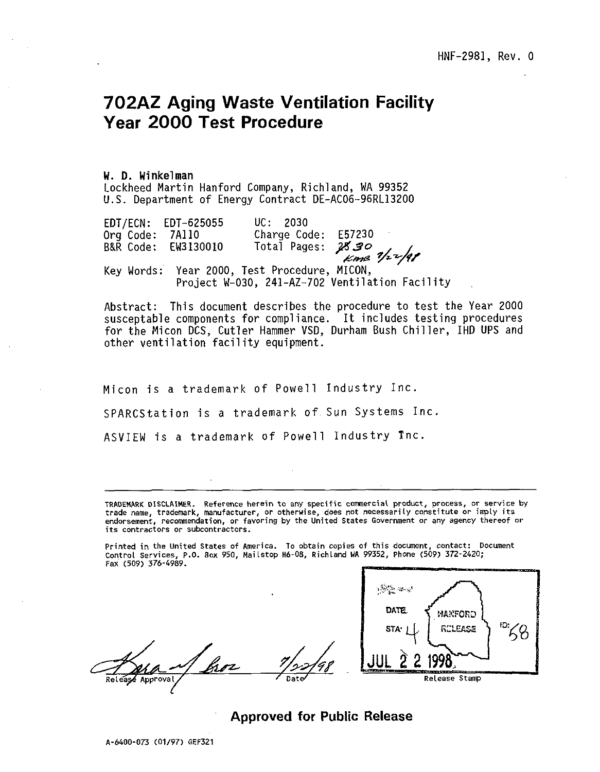## 702AZ Aging Waste Ventilation Facility Year 2000 Test Procedure

**W. D. Winkelman** Lockheed Martin Hanford Company, Richland, WA 99352 U.S. Department of Energy Contract DE-AC06-96RL13200

UC: 2030 Charge Code: E57230<br>Total Pages: 25.30 Total Pages:  $\frac{2830}{km}$  1/22/01 EDT/ECN: EDT-625055 Org Code: 7A110 B&R Code: EW3130010 Key Words: Year 2000, Test Procedure, MICON, Project W-030, 24I-AZ-702 Ventilation Facility

Abstract: This document describes the procedure to test the Year 2000 susceptable components for compliance. It includes testing procedures for the Micon DCS, Cutler Hammer VSD, Durham Bush Chiller, IHD UPS and other ventilation facility equipment.

Micon is a trademark of Powell Industry Inc . SPARCStation is a trademark of. Sun Systems Inc.

ASVIEW is a trademark of Powell Industry Tnc.

TRADEMARK DISCLAIMER. Reference herein to any specific commercial product, process, or service by endorsement, recorrmendation, or fa its contractors or subcontractors.

Printed in the United States of America. To obtain copies of this document, contact: Document Control Services, P.O. Box 950, Mailstop H6-08, Richland WA 99352, Phone (509) 372-2420; Fax (509) 376-4989.



#### Approved for Public Release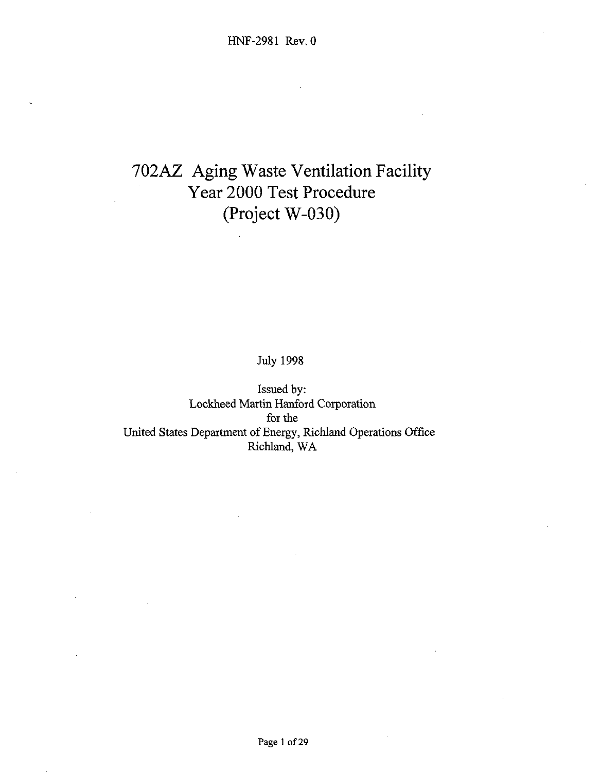## 702AZ Aging Waste Ventilation Facility Year 2000 Test Procedure (Project W-030)

July 1998

Issued by: Lockheed Martin Hanford Corporation for the United States Department of Energy, Richland Operations Office Richland, WA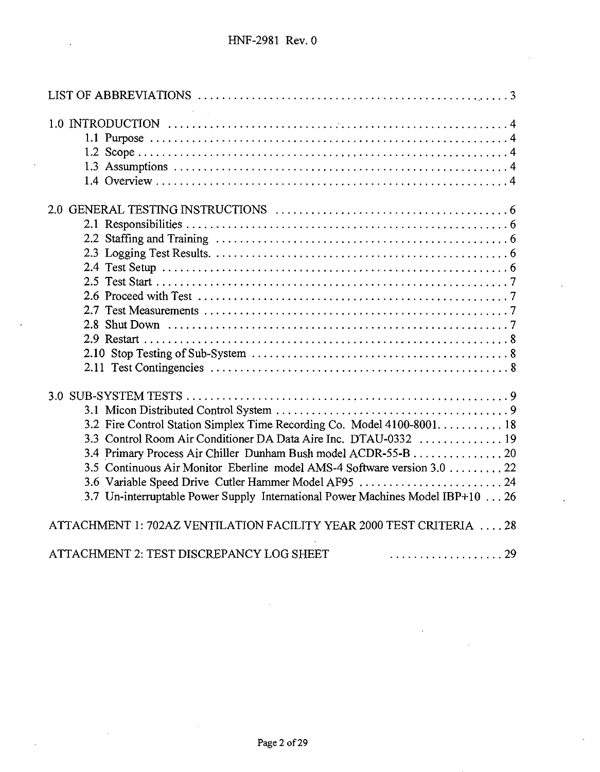| 3.2 Fire Control Station Simplex Time Recording Co. Model 4100-8001. 18<br>3.3 Control Room Air Conditioner DA Data Aire Inc. DTAU-0332  19<br>3.4 Primary Process Air Chiller Dunham Bush model ACDR-55-B 20<br>3.5 Continuous Air Monitor Eberline model AMS-4 Software version 3.0 22<br>3.7 Un-interruptable Power Supply International Power Machines Model IBP+10  26 |
|-----------------------------------------------------------------------------------------------------------------------------------------------------------------------------------------------------------------------------------------------------------------------------------------------------------------------------------------------------------------------------|
| ATTACHMENT 1: 702AZ VENTILATION FACILITY YEAR 2000 TEST CRITERIA  28<br>ATTACHMENT 2: TEST DISCREPANCY LOG SHEET<br>. 29                                                                                                                                                                                                                                                    |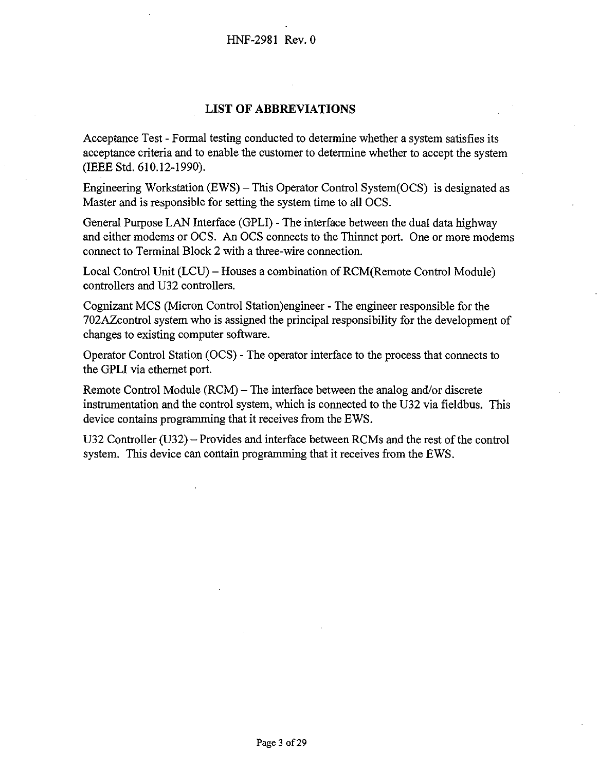#### **LIST OF ABBREVIATIONS**

Acceptance Test - Formal testing conducted to determine whether a system satisfies its acceptance criteria and to enable the customer to determine whether to accept the system (IEEE Std. 610.12-1990).

Engineering Workstation (EWS) - This Operator Control System(OCS) is designated as Master and is responsible for setting the system time to all OCS.

General Purpose LAN Interface (GPLI) - The interface between the dual data highway and either modems or OCS. An OCS connects to the Thinnet port. One or more modems connect to Terminal Block 2 with a three-wire connection.

Local Control Unit (LCU) - Houses a combination of RCM(Remote Control Module) controllers and U32 controllers.

Cognizant MCS (Micron Control Station)engineer - The engineer responsible for the 702AZcontrol system who is assigned the principal responsibility for the development of changes to existing computer software.

Operator Control Station (OCS) - The operator interface to the process that connects to the GPLI via ethernet port.

Remote Control Module (RCM) - The interface between the analog and/or discrete instrumentation and the control system, which is connected to the U32 via fieldbus. This device contains programming that it receives from the EWS.

U32 Controller (U32) - Provides and interface between RCMs and the rest of the control system. This device can contain programming that it receives from the EWS.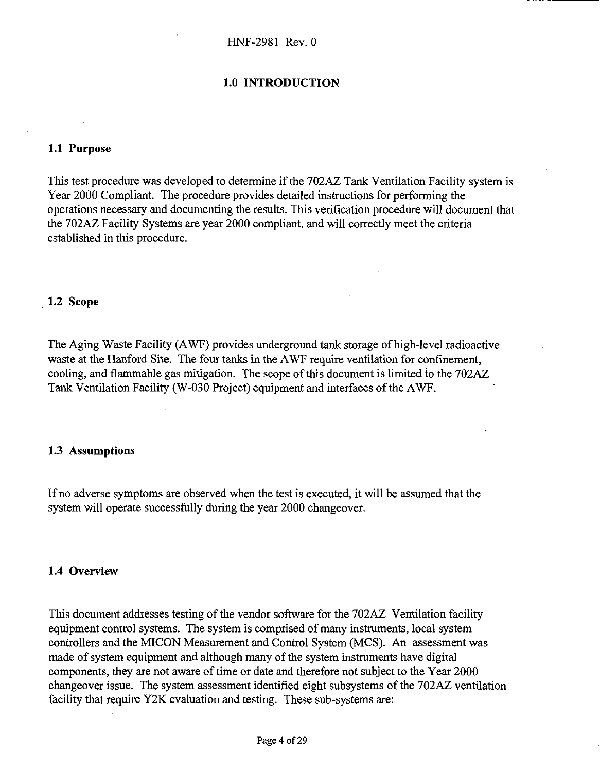#### **1.0 INTRODUCTION**

#### **1.1 Purpose**

This test procedure was developed to determine if the 702AZ Tank Ventilation Facility system is Year 2000 Compliant. The procedure provides detailed instructions for performing the operations necessary and documenting the results. This verification procedure will document that the 702AZ Facility Systems are year 2000 compliant, and will correctly meet the criteria established in this procedure.

#### **1.2 Scope**

The Aging Waste Facility (AWF) provides underground tank storage of high-level radioactive waste at the Hanford Site. The four tanks in the AWF require ventilation for confinement, cooling, and flammable gas mitigation. The scope of this document is limited to the 702AZ Tank Ventilation Facility (W-030 Project) equipment and interfaces of the AWF.

#### **1.3 Assumptions**

If no adverse symptoms are observed when the test is executed, it will be assumed that the system will operate successfully during the year 2000 changeover.

#### **1.4 Overview**

This document addresses testing of the vendor software for the 702AZ Ventilation facility equipment control systems. The system is comprised of many instruments, local system controllers and the MICON Measurement and Control System (MCS). An assessment was made of system equipment and although many of the system instruments have digital components, they are not aware of time or date and therefore not subject to the Year 2000 changeover issue. The system assessment identified eight subsystems of the 702AZ ventilation facility that require Y2K evaluation and testing. These sub-systems are: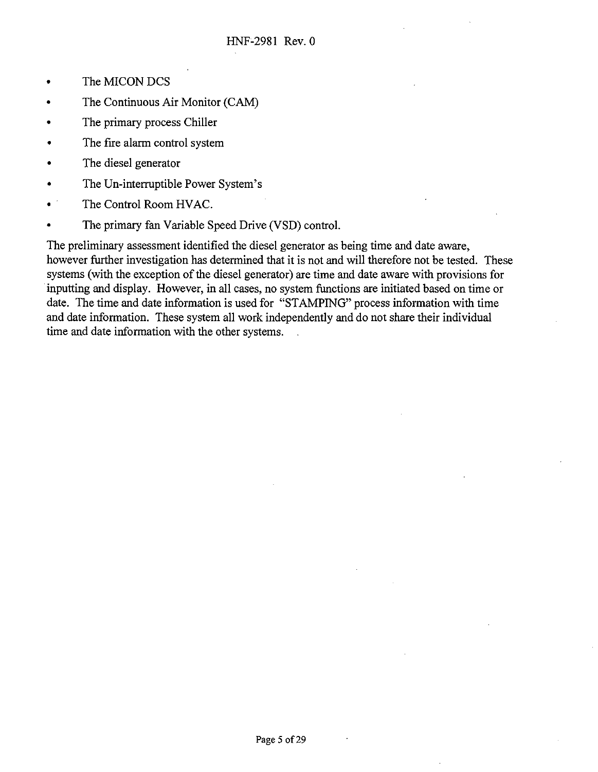- The MICON DCS
- The Continuous Air Monitor (CAM)
- The primary process Chiller
- The fire alarm control system
- The diesel generator
- The Un-interruptible Power System's
- The Control Room HVAC.
- The primary fan Variable Speed Drive (VSD) control.

The preliminary assessment identified the diesel generator as being time and date aware, however further investigation has determined that it is not and will therefore not be tested. These systems (with the exception of the diesel generator) are time and date aware with provisions for inputting and display. However, in all cases, no system functions are initiated based on time or date. The time and date information is used for "STAMPING" process information with time and date information. These system all work independently and do not share their individual time and date information with the other systems.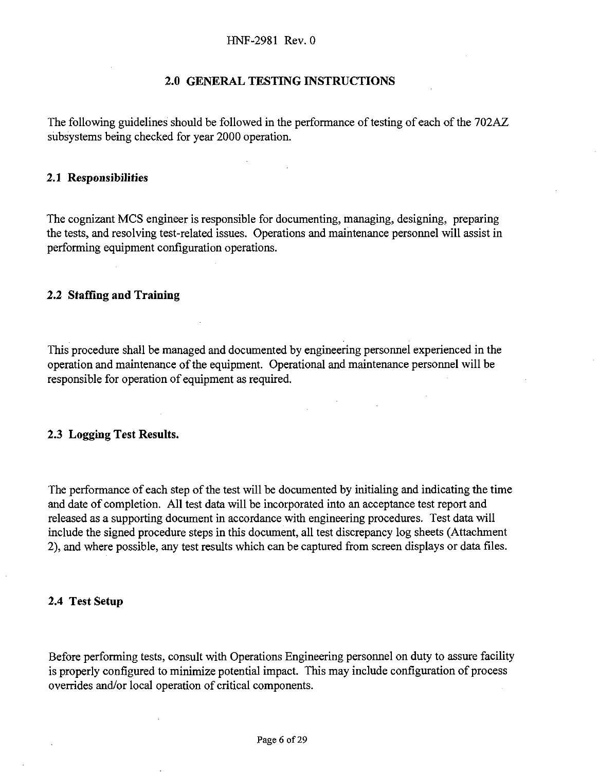#### HNF-2981 Rev. 0

#### **2.0 GENERAL TESTING INSTRUCTIONS**

The following guidelines should be followed in the performance of testing of each of the 702AZ subsystems being checked for year 2000 operation.

#### **2.1 Responsibilities**

The cognizant MCS engineer is responsible for documenting, managing, designing, preparing the tests, and resolving test-related issues. Operations and maintenance personnel will assist in performing equipment configuration operations.

#### **2.2 Staffing and Training**

This procedure shall be managed and documented by engineering personnel experienced in the operation and maintenance of the equipment. Operational and maintenance personnel will be responsible for operation of equipment as required.

#### **2.3 Logging Test Results.**

The performance of each step of the test will be documented by initialing and indicating the time and date of completion. All test data will be incorporated into an acceptance test report and released as a supporting document in accordance with engineering procedures. Test data will include the signed procedure steps in this document, all test discrepancy log sheets (Attachment 2), and where possible, any test results which can be captured from screen displays or data files.

#### **2.4 Test Setup**

Before performing tests, consult with Operations Engineering personnel on duty to assure facility is properly configured to minimize potential impact. This may include configuration of process overrides and/or local operation of critical components.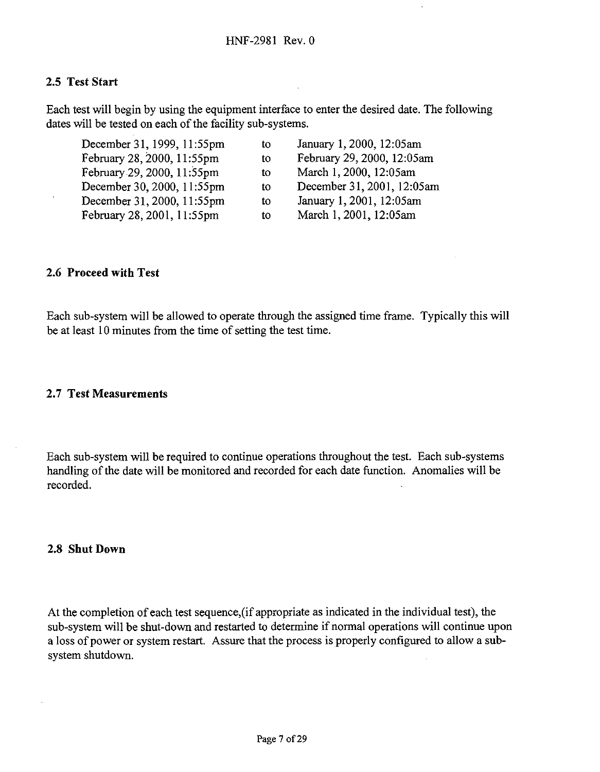#### **2.5 Test Start**

Each test will begin by using the equipment interface to enter the desired date. The following dates will be tested on each of the facility sub-systems.

| to | January 1, 2000, 12:05am   |
|----|----------------------------|
| to | February 29, 2000, 12:05am |
| to | March 1, 2000, 12:05am     |
| tο | December 31, 2001, 12:05am |
| to | January 1, 2001, 12:05am   |
| to | March 1, 2001, 12:05am     |
|    |                            |

#### **2.6 Proceed with Test**

Each sub-system will be allowed to operate through the assigned time frame. Typically this will be at least 10 minutes from the time of setting the test time.

#### **2.7 Test Measurements**

Each sub-system will be required to continue operations throughout the test. Each sub-systems handling of the date will be monitored and recorded for each date function. Anomalies will be recorded.

#### **2.8 Shut Down**

At the completion of each test sequence,(if appropriate as indicated in the individual test), the sub-system will be shut-down and restarted to determine if normal operations will continue upon a loss of power or system restart. Assure that the process is properly configured to allow a subsystem shutdown.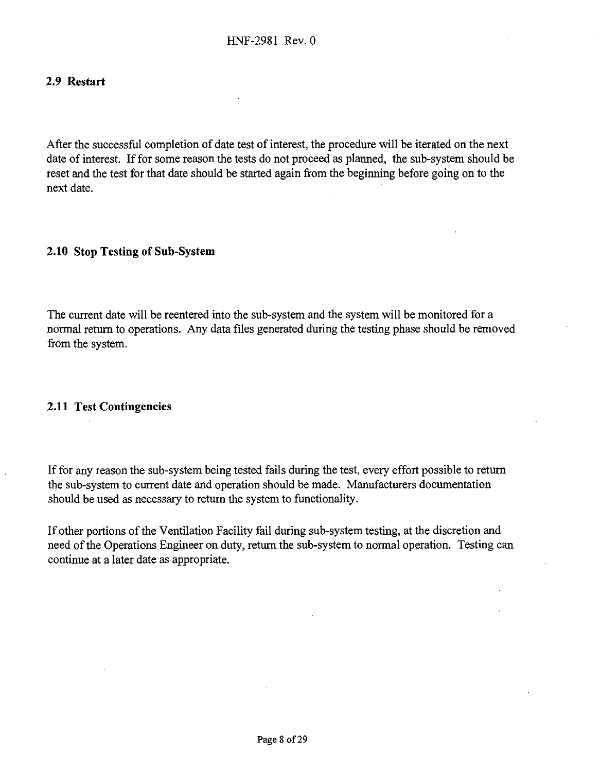#### **2.9 Restart**

After the successful completion of date test of interest, the procedure will be iterated on the next date of interest. If for some reason the tests do not proceed as planned, the sub-system should be reset and the test for that date should be started again from the beginning before going on to the next date.

#### **2.10 Stop Testing of Sub-System**

The current date will be reentered into the sub-system and the system will be monitored for a normal return to operations. Any data files generated during the testing phase should be removed from the system.

#### **2.11 Test Contingencies**

If for any reason the sub-system being tested fails during the test, every effort possible to return the sub-system to current date and operation should be made. Manufacturers documentation should be used as necessary to return the system to functionality.

If other portions of the Ventilation Facility fail during sub-system testing, at the discretion and need of the Operations Engineer on duty, return the sub-system to normal operation. Testing can continue at a later date as appropriate.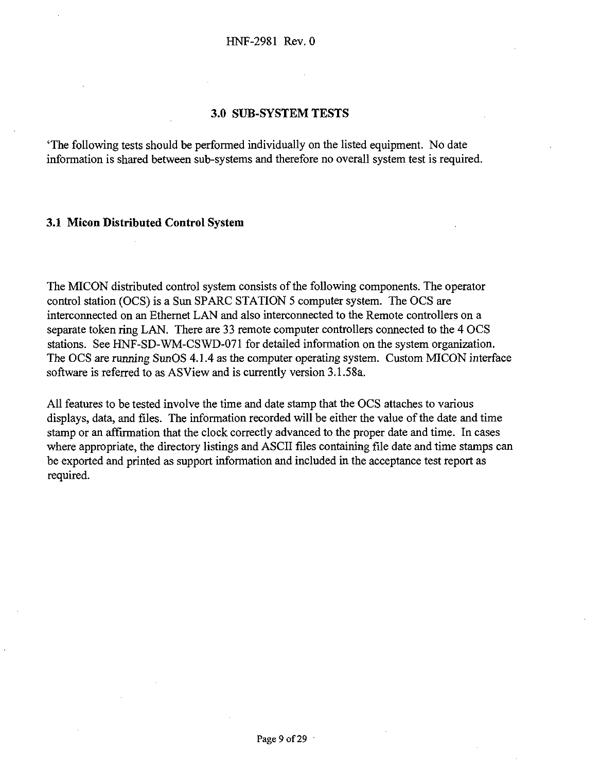#### **3.0 SUB-SYSTEM TESTS**

'The following tests should be performed individually on the listed equipment. No date information is shared between sub-systems and therefore no overall system test is required.

#### **3.1 Micon Distributed Control System**

The MICON distributed control system consists of the following components. The operator control station (OCS) is a Sun SPARC STATION 5 computer system. The OCS are interconnected on an Ethernet LAN and also interconnected to the Remote controllers on a separate token ring LAN. There are 33 remote computer controllers connected to the 4 OCS stations. See HNF-SD-WM-CSWD-071 for detailed information on the system organization. The OCS are running SunOS 4.1.4 as the computer operating system. Custom MICON interface software is referred to as ASView and is currently version 3.1.58a.

All features to be tested involve the time and date stamp that the OCS attaches to various displays, data, and files. The information recorded will be either the value of the date and time stamp or an affirmation that the clock correctly advanced to the proper date and time. In cases where appropriate, the directory listings and ASCII files containing file date and time stamps can be exported and printed as support information and included in the acceptance test report as required.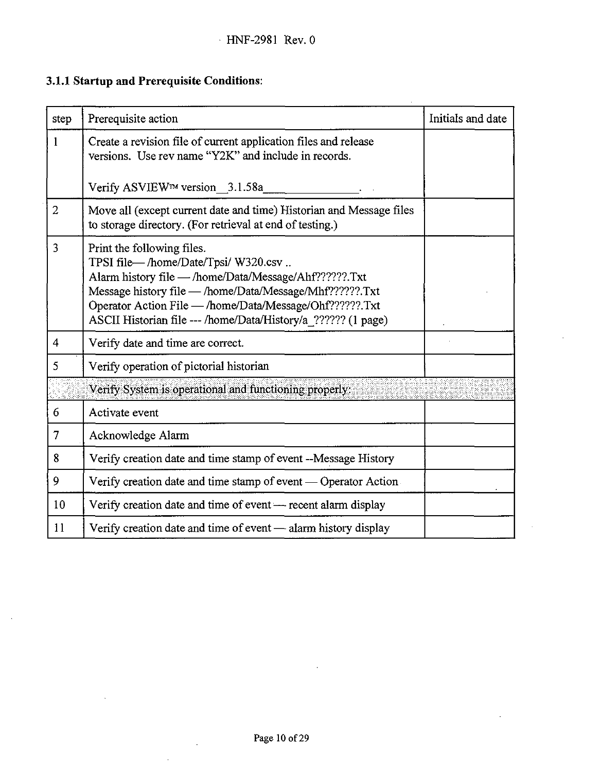## **3.1.1 Startup and Prerequisite Conditions:**

| step           | Prerequisite action                                                                                                                                                                                                                                                                                               | Initials and date |
|----------------|-------------------------------------------------------------------------------------------------------------------------------------------------------------------------------------------------------------------------------------------------------------------------------------------------------------------|-------------------|
| 1              | Create a revision file of current application files and release<br>versions. Use rev name "Y2K" and include in records.                                                                                                                                                                                           |                   |
|                | Verify ASVIEW™ version 3.1.58a                                                                                                                                                                                                                                                                                    |                   |
| $\overline{2}$ | Move all (except current date and time) Historian and Message files<br>to storage directory. (For retrieval at end of testing.)                                                                                                                                                                                   |                   |
| 3              | Print the following files.<br>TPSI file-/home/Date/Tpsi/ W320.csv<br>Alarm history file - /home/Data/Message/Ahf??????.Txt<br>Message history file — /home/Data/Message/Mhf??????.Txt<br>Operator Action File - /home/Data/Message/Ohf??????.Txt<br>ASCII Historian file --- /home/Data/History/a ?????? (1 page) |                   |
| 4              | Verify date and time are correct.                                                                                                                                                                                                                                                                                 |                   |
| 5              | Verify operation of pictorial historian                                                                                                                                                                                                                                                                           |                   |
|                | Verify System is operational and functioning properly:                                                                                                                                                                                                                                                            |                   |
| 6              | Activate event                                                                                                                                                                                                                                                                                                    |                   |
| 7              | Acknowledge Alarm                                                                                                                                                                                                                                                                                                 |                   |
| 8              | Verify creation date and time stamp of event -- Message History                                                                                                                                                                                                                                                   |                   |
| 9              | Verify creation date and time stamp of event — Operator Action                                                                                                                                                                                                                                                    |                   |
| 10             | Verify creation date and time of event – recent alarm display                                                                                                                                                                                                                                                     |                   |
| 11             | Verify creation date and time of event $-$ alarm history display                                                                                                                                                                                                                                                  |                   |

 $\sim$   $\sim$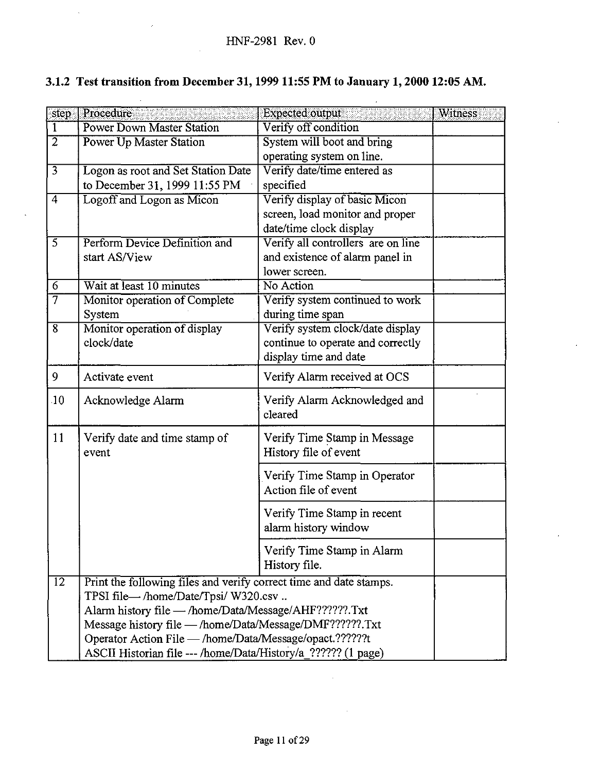| step                    | Procedure                                                          | <b>Expected output</b>             | Witness |  |
|-------------------------|--------------------------------------------------------------------|------------------------------------|---------|--|
| T                       | <b>Power Down Master Station</b>                                   | Verify off condition               |         |  |
| $\overline{2}$          | Power Up Master Station                                            | System will boot and bring         |         |  |
|                         |                                                                    | operating system on line.          |         |  |
|                         | Logon as root and Set Station Date                                 | Verify date/time entered as        |         |  |
|                         | to December 31, 1999 11:55 PM                                      | specified                          |         |  |
| $\overline{4}$          | Logoff and Logon as Micon                                          | Verify display of basic Micon      |         |  |
|                         |                                                                    | screen, load monitor and proper    |         |  |
|                         |                                                                    | date/time clock display            |         |  |
| 3                       | Perform Device Definition and                                      | Verify all controllers are on line |         |  |
|                         | start AS/View                                                      | and existence of alarm panel in    |         |  |
|                         |                                                                    | lower screen.                      |         |  |
| $\overline{6}$          | Wait at least 10 minutes                                           | No Action                          |         |  |
| 7                       | Monitor operation of Complete                                      | Verify system continued to work    |         |  |
|                         | System                                                             | during time span                   |         |  |
| $\overline{\mathbf{8}}$ | Monitor operation of display                                       | Verify system clock/date display   |         |  |
|                         | clock/date                                                         | continue to operate and correctly  |         |  |
|                         |                                                                    | display time and date              |         |  |
| 9                       | Activate event                                                     | Verify Alarm received at OCS       |         |  |
| .10                     | Acknowledge Alarm                                                  | Verify Alarm Acknowledged and      |         |  |
|                         |                                                                    | cleared                            |         |  |
| 11                      | Verify date and time stamp of                                      | Verify Time Stamp in Message       |         |  |
|                         | event                                                              | History file of event              |         |  |
|                         |                                                                    |                                    |         |  |
|                         |                                                                    | Verify Time Stamp in Operator      |         |  |
|                         |                                                                    | Action file of event               |         |  |
|                         |                                                                    | Verify Time Stamp in recent        |         |  |
|                         |                                                                    | alarm history window               |         |  |
|                         |                                                                    |                                    |         |  |
|                         |                                                                    | Verify Time Stamp in Alarm         |         |  |
|                         |                                                                    | History file.                      |         |  |
| 12                      | Print the following files and verify correct time and date stamps. |                                    |         |  |
|                         | TPSI file-/home/Date/Tpsi/ W320.csv                                |                                    |         |  |
|                         | Alarm history file - /home/Data/Message/AHF??????.Txt              |                                    |         |  |
|                         | Message history file - /home/Data/Message/DMF??????.Txt            |                                    |         |  |
|                         | Operator Action File - /home/Data/Message/opact.??????t            |                                    |         |  |
|                         | ASCII Historian file -- /home/Data/History/a ?????? (1 page)       |                                    |         |  |

## **3.1.2 Test transition from December 31,1999 11:55 PM to January 1,2000 12:05 AM.**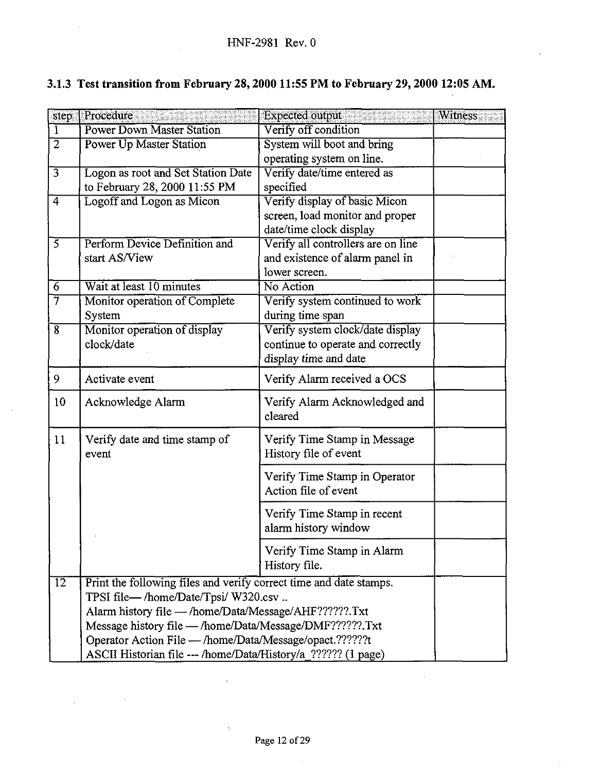| step              | Procedure                                                          | <b>Expected output</b>             | <b>Witness</b> |  |
|-------------------|--------------------------------------------------------------------|------------------------------------|----------------|--|
| ī                 | <b>Power Down Master Station</b>                                   | Verify off condition               |                |  |
| $\overline{2}$    | <b>Power Up Master Station</b>                                     | System will boot and bring         |                |  |
|                   |                                                                    | operating system on line.          |                |  |
| $\overline{3}$    | Logon as root and Set Station Date                                 | Verify date/time entered as        |                |  |
|                   | to February 28, 2000 11:55 PM                                      | specified                          |                |  |
| $\overline{4}$    | Logoff and Logon as Micon                                          | Verify display of basic Micon      |                |  |
|                   |                                                                    | screen, load monitor and proper    |                |  |
|                   |                                                                    | date/time clock display            |                |  |
| 5                 | Perform Device Definition and                                      | Verify all controllers are on line |                |  |
|                   | start AS/View                                                      | and existence of alarm panel in    |                |  |
|                   |                                                                    | lower screen.                      |                |  |
| $\overline{6}$    | Wait at least 10 minutes                                           | No Action                          |                |  |
| $\overline{\tau}$ | Monitor operation of Complete                                      | Verify system continued to work    |                |  |
|                   | System                                                             | during time span                   |                |  |
| $\overline{8}$    | Monitor operation of display                                       | Verify system clock/date display   |                |  |
|                   | clock/date                                                         | continue to operate and correctly  |                |  |
|                   |                                                                    | display time and date              |                |  |
| 9                 | Activate event                                                     | Verify Alarm received a OCS        |                |  |
| $10\,$            | Acknowledge Alarm                                                  | Verify Alarm Acknowledged and      |                |  |
|                   |                                                                    | cleared                            |                |  |
| 11                | Verify date and time stamp of                                      | Verify Time Stamp in Message       |                |  |
|                   | event                                                              | History file of event              |                |  |
|                   |                                                                    |                                    |                |  |
|                   |                                                                    | Verify Time Stamp in Operator      |                |  |
|                   |                                                                    | Action file of event               |                |  |
|                   |                                                                    | Verify Time Stamp in recent        |                |  |
|                   |                                                                    | alarm history window               |                |  |
|                   |                                                                    |                                    |                |  |
|                   |                                                                    | Verify Time Stamp in Alarm         |                |  |
|                   |                                                                    | History file.                      |                |  |
| $\overline{12}$   | Print the following files and verify correct time and date stamps. |                                    |                |  |
|                   | TPSI file-/home/Date/Tpsi/ W320.csv                                |                                    |                |  |
|                   | Alarm history file - /home/Data/Message/AHF??????.Txt              |                                    |                |  |
|                   | Message history file - /home/Data/Message/DMF??????.Txt            |                                    |                |  |
|                   | Operator Action File - /home/Data/Message/opact.??????t            |                                    |                |  |
|                   | ASCII Historian file --- /home/Data/History/a ?????? (1 page)      |                                    |                |  |

 $\sim$ 

## **3.1.3 Test transition from February 28,2000 11:55 PM to February 29, 2000 12:05 AM.**

 $\bar{\lambda}$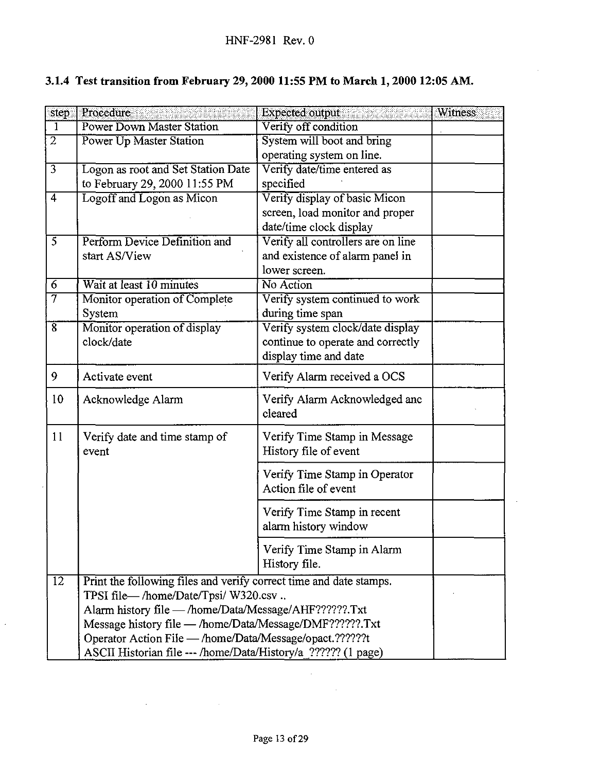|  |  |  |  |  |  | 3.1.4 Test transition from February 29, 2000 11:55 PM to March 1, 2000 12:05 AM. |
|--|--|--|--|--|--|----------------------------------------------------------------------------------|
|--|--|--|--|--|--|----------------------------------------------------------------------------------|

| step               | Procedure                                                          | <b>Expected</b> output<br><b>Witness</b> |  |  |  |
|--------------------|--------------------------------------------------------------------|------------------------------------------|--|--|--|
| 1                  | <b>Power Down Master Station</b>                                   | Verify off condition                     |  |  |  |
| $\overline{2}$     | Power Up Master Station                                            | System will boot and bring               |  |  |  |
|                    |                                                                    | operating system on line.                |  |  |  |
|                    | Logon as root and Set Station Date                                 | Verify date/time entered as              |  |  |  |
|                    | to February 29, 2000 11:55 PM                                      | specified                                |  |  |  |
| 4                  | Logoff and Logon as Micon                                          | Verify display of basic Micon            |  |  |  |
|                    |                                                                    | screen, load monitor and proper          |  |  |  |
|                    |                                                                    | date/time clock display                  |  |  |  |
| 5                  | Perform Device Definition and                                      | Verify all controllers are on line       |  |  |  |
|                    | start AS/View                                                      | and existence of alarm panel in          |  |  |  |
|                    |                                                                    | lower screen.                            |  |  |  |
| 6                  | Wait at least 10 minutes                                           | No Action                                |  |  |  |
| $\overline{\tau}$  | Monitor operation of Complete                                      | Verify system continued to work          |  |  |  |
|                    | System                                                             | during time span                         |  |  |  |
| $\overline{\bf 8}$ | Monitor operation of display                                       | Verify system clock/date display         |  |  |  |
|                    | clock/date                                                         | continue to operate and correctly        |  |  |  |
|                    |                                                                    | display time and date                    |  |  |  |
| 9                  | Activate event                                                     | Verify Alarm received a OCS              |  |  |  |
| 10                 | Acknowledge Alarm                                                  | Verify Alarm Acknowledged anc            |  |  |  |
|                    |                                                                    | cleared                                  |  |  |  |
| 11                 | Verify date and time stamp of                                      | Verify Time Stamp in Message             |  |  |  |
|                    | event                                                              | History file of event                    |  |  |  |
|                    |                                                                    |                                          |  |  |  |
|                    |                                                                    | Verify Time Stamp in Operator            |  |  |  |
|                    |                                                                    | Action file of event                     |  |  |  |
|                    |                                                                    | Verify Time Stamp in recent              |  |  |  |
|                    |                                                                    | alarm history window                     |  |  |  |
|                    |                                                                    |                                          |  |  |  |
|                    |                                                                    | Verify Time Stamp in Alarm               |  |  |  |
|                    |                                                                    | History file.                            |  |  |  |
| 12                 | Print the following files and verify correct time and date stamps. |                                          |  |  |  |
|                    | TPSI file-/home/Date/Tpsi/ W320.csv                                |                                          |  |  |  |
|                    | Alarm history file - /home/Data/Message/AHF??????.Txt              |                                          |  |  |  |
|                    | Message history file - /home/Data/Message/DMF??????.Txt            |                                          |  |  |  |
|                    | Operator Action File - /home/Data/Message/opact.??????t            |                                          |  |  |  |
|                    | ASCII Historian file --- /home/Data/History/a ?????? (1 page)      |                                          |  |  |  |

à,

 $\sim$ 

 $\bar{z}$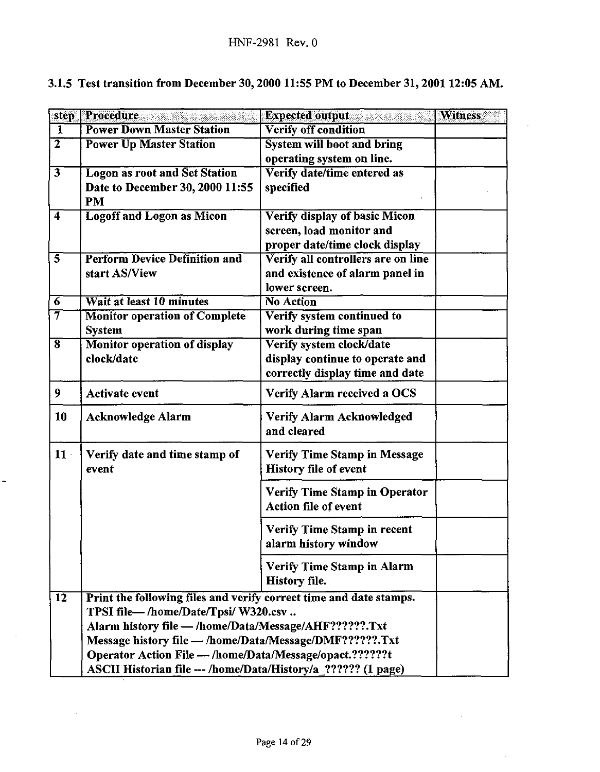| step                    | Procedure                                                          | <b>Expected output</b>                                | <b>Witness</b> |  |  |
|-------------------------|--------------------------------------------------------------------|-------------------------------------------------------|----------------|--|--|
| 1                       | <b>Power Down Master Station</b>                                   | Verify off condition                                  |                |  |  |
| 7                       | <b>Power Up Master Station</b>                                     | System will boot and bring                            |                |  |  |
|                         |                                                                    | operating system on line.                             |                |  |  |
|                         | <b>Logon</b> as root and Set Station                               | Verify date/time entered as                           |                |  |  |
|                         | Date to December 30, 2000 11:55                                    | specified                                             |                |  |  |
|                         | PM                                                                 |                                                       |                |  |  |
| 4                       | <b>Logoff and Logon as Micon</b>                                   | Verify display of basic Micon                         |                |  |  |
|                         |                                                                    | screen, load monitor and                              |                |  |  |
|                         |                                                                    | proper date/time clock display                        |                |  |  |
| $\overline{\mathbf{s}}$ | <b>Perform Device Definition and</b>                               | Verify all controllers are on line                    |                |  |  |
|                         | start AS/View                                                      | and existence of alarm panel in                       |                |  |  |
|                         |                                                                    | lower screen.                                         |                |  |  |
| 6<br>$\overline{7}$     | Wait at least 10 minutes                                           | <b>No Action</b>                                      |                |  |  |
|                         | <b>Monitor operation of Complete</b>                               | Verify system continued to                            |                |  |  |
| $\overline{\mathbf{8}}$ | <b>System</b><br><b>Monitor operation of display</b>               | work during time span<br>Verify system clock/date     |                |  |  |
|                         | clock/date                                                         | display continue to operate and                       |                |  |  |
|                         |                                                                    | correctly display time and date                       |                |  |  |
|                         |                                                                    |                                                       |                |  |  |
| 9                       | Activate event                                                     | Verify Alarm received a OCS                           |                |  |  |
| 10                      | Acknowledge Alarm                                                  | Verify Alarm Acknowledged                             |                |  |  |
|                         |                                                                    | and cleared                                           |                |  |  |
| $11 -$                  |                                                                    |                                                       |                |  |  |
|                         | Verify date and time stamp of<br>event                             | Verify Time Stamp in Message<br>History file of event |                |  |  |
|                         |                                                                    |                                                       |                |  |  |
|                         |                                                                    | Verify Time Stamp in Operator                         |                |  |  |
|                         |                                                                    | Action file of event                                  |                |  |  |
|                         |                                                                    | Verify Time Stamp in recent                           |                |  |  |
|                         |                                                                    | alarm history window                                  |                |  |  |
|                         |                                                                    |                                                       |                |  |  |
|                         |                                                                    | Verify Time Stamp in Alarm                            |                |  |  |
|                         |                                                                    | History file.                                         |                |  |  |
| $\overline{12}$         | Print the following files and verify correct time and date stamps. |                                                       |                |  |  |
|                         | TPSI file-/home/Date/Tpsi/ W320.csv                                |                                                       |                |  |  |
|                         | Alarm history file - /home/Data/Message/AHF??????.Txt              |                                                       |                |  |  |
|                         | Message history file - /home/Data/Message/DMF??????.Txt            |                                                       |                |  |  |
|                         | Operator Action File - /home/Data/Message/opact.??????t            |                                                       |                |  |  |
|                         | ASCII Historian file --- /home/Data/History/a_?????? (1 page)      |                                                       |                |  |  |

 $\overline{a}$ 

 $\alpha$  .

## 3.1.5 Test transition from December 30,2000 11:55 PM to December 31,2001 12:05 AM.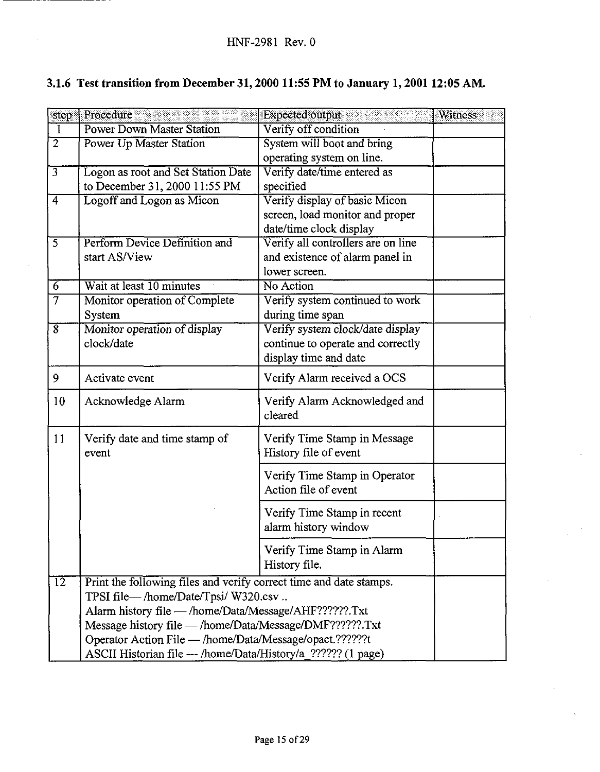| step              | Procedure                                                          | <b>Expected</b> output             | <b>Witness</b> |  |
|-------------------|--------------------------------------------------------------------|------------------------------------|----------------|--|
| 1                 | <b>Power Down Master Station</b>                                   | Verify off condition               |                |  |
| $\overline{2}$    | Power Up Master Station                                            | System will boot and bring         |                |  |
|                   |                                                                    | operating system on line.          |                |  |
| $\overline{3}$    | Logon as root and Set Station Date                                 | Verify date/time entered as        |                |  |
|                   | to December 31, 2000 11:55 PM                                      | specified                          |                |  |
| $\overline{4}$    | Logoff and Logon as Micon                                          | Verify display of basic Micon      |                |  |
|                   |                                                                    | screen, load monitor and proper    |                |  |
|                   |                                                                    | date/time clock display            |                |  |
| 5                 | Perform Device Definition and                                      | Verify all controllers are on line |                |  |
|                   | start AS/View                                                      | and existence of alarm panel in    |                |  |
|                   |                                                                    | lower screen.                      |                |  |
| $\overline{6}$    | Wait at least 10 minutes                                           | No Action                          |                |  |
| $\overline{\tau}$ | Monitor operation of Complete                                      | Verify system continued to work    |                |  |
|                   | System                                                             | during time span                   |                |  |
| $\overline{s}$    | Monitor operation of display                                       | Verify system clock/date display   |                |  |
|                   | clock/date                                                         | continue to operate and correctly  |                |  |
|                   |                                                                    | display time and date              |                |  |
| 9                 | Activate event                                                     | Verify Alarm received a OCS        |                |  |
| 10                | Acknowledge Alarm                                                  | Verify Alarm Acknowledged and      |                |  |
|                   |                                                                    | cleared                            |                |  |
| 11                | Verify date and time stamp of                                      | Verify Time Stamp in Message       |                |  |
|                   | event                                                              | History file of event              |                |  |
|                   |                                                                    | Verify Time Stamp in Operator      |                |  |
|                   |                                                                    | Action file of event               |                |  |
|                   |                                                                    | Verify Time Stamp in recent        |                |  |
|                   |                                                                    | alarm history window               |                |  |
|                   |                                                                    | Verify Time Stamp in Alarm         |                |  |
|                   |                                                                    | History file.                      |                |  |
| $\overline{12}$   | Print the following files and verify correct time and date stamps. |                                    |                |  |
|                   | TPSI file-/home/Date/Tpsi/ W320.csv                                |                                    |                |  |
|                   | Alarm history file - /home/Data/Message/AHF??????.Txt              |                                    |                |  |
|                   | Message history file - /home/Data/Message/DMF??????.Txt            |                                    |                |  |
|                   | Operator Action File - /home/Data/Message/opact.??????!            |                                    |                |  |
|                   | ASCII Historian file --- /home/Data/History/a ?????? (1 page)      |                                    |                |  |

## 3.1.6 Test transition from December 31, 2000 11:55 PM to January 1, 2001 12:05 AM.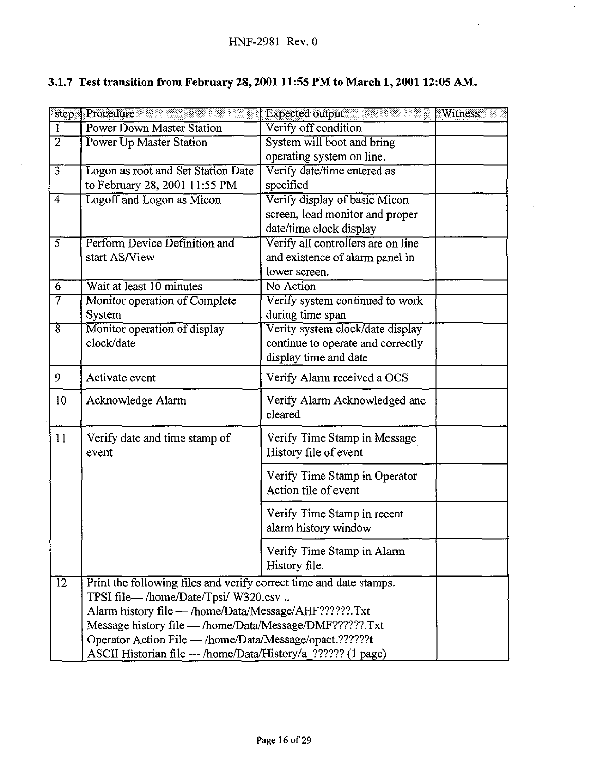| step                      | Procedure                                                                                                                                                                                                                                                                                                                                | <b>Expected output</b>                                                                                                              | <b>Witness</b> |  |
|---------------------------|------------------------------------------------------------------------------------------------------------------------------------------------------------------------------------------------------------------------------------------------------------------------------------------------------------------------------------------|-------------------------------------------------------------------------------------------------------------------------------------|----------------|--|
| T                         | <b>Power Down Master Station</b>                                                                                                                                                                                                                                                                                                         | Verify off condition                                                                                                                |                |  |
| $\overline{2}$            | Power Up Master Station                                                                                                                                                                                                                                                                                                                  | System will boot and bring                                                                                                          |                |  |
|                           |                                                                                                                                                                                                                                                                                                                                          | operating system on line.                                                                                                           |                |  |
| $\overline{\overline{3}}$ | Logon as root and Set Station Date                                                                                                                                                                                                                                                                                                       | Verify date/time entered as                                                                                                         |                |  |
|                           | to February 28, 2001 11:55 PM                                                                                                                                                                                                                                                                                                            | specified                                                                                                                           |                |  |
| $\overline{4}$            | Logoff and Logon as Micon                                                                                                                                                                                                                                                                                                                | Verify display of basic Micon                                                                                                       |                |  |
|                           |                                                                                                                                                                                                                                                                                                                                          | screen, load monitor and proper                                                                                                     |                |  |
|                           |                                                                                                                                                                                                                                                                                                                                          | date/time clock display                                                                                                             |                |  |
| 5                         | Perform Device Definition and                                                                                                                                                                                                                                                                                                            | Verify all controllers are on line                                                                                                  |                |  |
|                           | start AS/View                                                                                                                                                                                                                                                                                                                            | and existence of alarm panel in                                                                                                     |                |  |
|                           |                                                                                                                                                                                                                                                                                                                                          | lower screen.                                                                                                                       |                |  |
| $\overline{6}$            | Wait at least 10 minutes                                                                                                                                                                                                                                                                                                                 | No Action                                                                                                                           |                |  |
| 7                         | Monitor operation of Complete                                                                                                                                                                                                                                                                                                            | Verify system continued to work                                                                                                     |                |  |
|                           | System                                                                                                                                                                                                                                                                                                                                   | during time span                                                                                                                    |                |  |
| $\overline{\bf 8}$        | Monitor operation of display                                                                                                                                                                                                                                                                                                             | Verity system clock/date display                                                                                                    |                |  |
|                           | clock/date                                                                                                                                                                                                                                                                                                                               | continue to operate and correctly                                                                                                   |                |  |
|                           |                                                                                                                                                                                                                                                                                                                                          | display time and date                                                                                                               |                |  |
| 9                         | Activate event                                                                                                                                                                                                                                                                                                                           | Verify Alarm received a OCS                                                                                                         |                |  |
| 10                        | Acknowledge Alarm                                                                                                                                                                                                                                                                                                                        | Verify Alarm Acknowledged anc                                                                                                       |                |  |
|                           |                                                                                                                                                                                                                                                                                                                                          | cleared                                                                                                                             |                |  |
|                           |                                                                                                                                                                                                                                                                                                                                          |                                                                                                                                     |                |  |
|                           |                                                                                                                                                                                                                                                                                                                                          |                                                                                                                                     |                |  |
|                           |                                                                                                                                                                                                                                                                                                                                          |                                                                                                                                     |                |  |
|                           |                                                                                                                                                                                                                                                                                                                                          | Verify Time Stamp in Operator                                                                                                       |                |  |
|                           |                                                                                                                                                                                                                                                                                                                                          | Action file of event                                                                                                                |                |  |
|                           |                                                                                                                                                                                                                                                                                                                                          |                                                                                                                                     |                |  |
|                           |                                                                                                                                                                                                                                                                                                                                          | alarm history window                                                                                                                |                |  |
|                           |                                                                                                                                                                                                                                                                                                                                          |                                                                                                                                     |                |  |
|                           |                                                                                                                                                                                                                                                                                                                                          |                                                                                                                                     |                |  |
|                           |                                                                                                                                                                                                                                                                                                                                          |                                                                                                                                     |                |  |
|                           |                                                                                                                                                                                                                                                                                                                                          |                                                                                                                                     |                |  |
|                           |                                                                                                                                                                                                                                                                                                                                          |                                                                                                                                     |                |  |
|                           |                                                                                                                                                                                                                                                                                                                                          |                                                                                                                                     |                |  |
|                           | Operator Action File - /home/Data/Message/opact.??????t                                                                                                                                                                                                                                                                                  |                                                                                                                                     |                |  |
|                           |                                                                                                                                                                                                                                                                                                                                          |                                                                                                                                     |                |  |
| 11<br>$\overline{12}$     | Verify date and time stamp of<br>event<br>Print the following files and verify correct time and date stamps.<br>TPSI file-/home/Date/Tpsi/ W320.csv<br>Alarm history file - /home/Data/Message/AHF??????.Txt<br>Message history file - /home/Data/Message/DMF??????.Txt<br>ASCII Historian file --- /home/Data/History/a_?????? (1 page) | Verify Time Stamp in Message<br>History file of event<br>Verify Time Stamp in recent<br>Verify Time Stamp in Alarm<br>History file. |                |  |

## **3.1.7 Test transition from February 28,2001 11:55 PM to March 1,2001 12:05 AM.**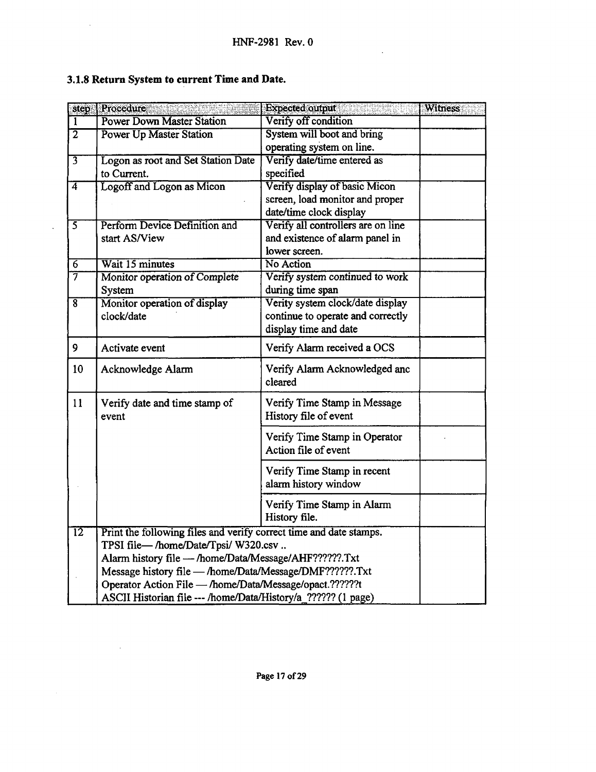| step                | <b>Procedure</b>                                                   | <b>Expected output</b>             | Witness |  |
|---------------------|--------------------------------------------------------------------|------------------------------------|---------|--|
| 1                   | <b>Power Down Master Station</b>                                   | Verify off condition               |         |  |
| $\overline{2}$      | <b>Power Up Master Station</b>                                     | System will boot and bring         |         |  |
|                     |                                                                    | operating system on line.          |         |  |
| $\overline{3}$      | Logon as root and Set Station Date                                 | Verify date/time entered as        |         |  |
|                     | to Current.                                                        | specified                          |         |  |
| $\overline{4}$      | Logoff and Logon as Micon                                          | Verify display of basic Micon      |         |  |
|                     |                                                                    | screen, load monitor and proper    |         |  |
|                     |                                                                    | date/time clock display            |         |  |
| 3                   | Perform Device Definition and                                      | Verify all controllers are on line |         |  |
|                     | start AS/View                                                      | and existence of alarm panel in    |         |  |
|                     |                                                                    | lower screen.                      |         |  |
| $\overline{6}$      | Wait 15 minutes                                                    | No Action                          |         |  |
| $\overline{\tau}$   | Monitor operation of Complete                                      | Verify system continued to work    |         |  |
|                     | System                                                             | during time span                   |         |  |
| $\overline{\bm{8}}$ | Monitor operation of display                                       | Verity system clock/date display   |         |  |
|                     | clock/date                                                         | continue to operate and correctly  |         |  |
|                     |                                                                    | display time and date              |         |  |
|                     |                                                                    |                                    |         |  |
| 9                   | Activate event                                                     | Verify Alarm received a OCS        |         |  |
| 10                  | Acknowledge Alarm                                                  | Verify Alarm Acknowledged anc      |         |  |
|                     |                                                                    | cleared                            |         |  |
|                     |                                                                    |                                    |         |  |
| 11                  | Verify date and time stamp of                                      | Verify Time Stamp in Message       |         |  |
|                     | event                                                              | History file of event              |         |  |
|                     |                                                                    | Verify Time Stamp in Operator      |         |  |
|                     |                                                                    | Action file of event               |         |  |
|                     |                                                                    |                                    |         |  |
|                     |                                                                    | Verify Time Stamp in recent        |         |  |
|                     |                                                                    | alarm history window               |         |  |
|                     |                                                                    |                                    |         |  |
|                     |                                                                    | Verify Time Stamp in Alarm         |         |  |
|                     |                                                                    | History file.                      |         |  |
| 12                  | Print the following files and verify correct time and date stamps. |                                    |         |  |
|                     | TPSI file-/home/Date/Tpsi/W320.csv                                 |                                    |         |  |
|                     | Alarm history file - /home/Data/Message/AHF??????.Txt              |                                    |         |  |
|                     | Message history file - /home/Data/Message/DMF??????.Txt            |                                    |         |  |
|                     | Operator Action File - /home/Data/Message/opact.??????t            |                                    |         |  |
|                     | ASCII Historian file --- /home/Data/History/a_?????? (1 page)      |                                    |         |  |

# **3.1.8 Return System to current Time and Date.**

 $\ddot{\phantom{a}}$ 

 $\mathbb{R}^2$ 

 $\mathcal{L}^{\text{max}}_{\text{max}}$ 

 $\sim 10^{-1}$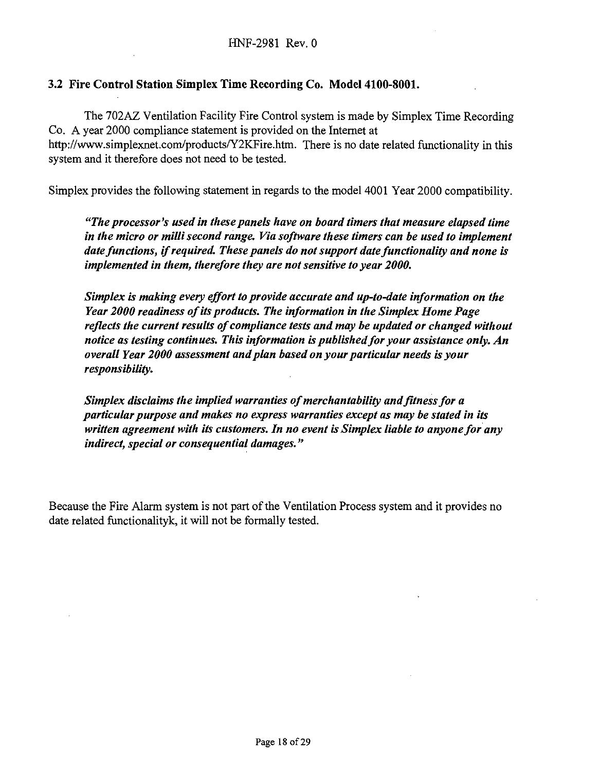#### **3.2 Fire Control Station Simplex Time Recording Co. Model 4100-8001.**

The 702AZ Ventilation Facility Fire Control system is made by Simplex Time Recording Co. A year 2000 compliance statement is provided on the Internet at http://www.simplexnet.com/products/Y2KFire.htm. There is no date related functionality in this system and it therefore does not need to be tested.

Simplex provides the following statement in regards to the model 4001 Year 2000 compatibility.

*"The processor's used in these panels have on board timers that measure elapsed time in the micro or milli second range. Via software these timers can be used to implement date functions, if required. These panels do not support date functionality and none is implemented in them, therefore they are not sensitive to year 2000.*

*Simplex is making every effort to provide accurate and up-to-date information on the Year 2000 readiness of its products. The information in the Simplex Home Page reflects the current results of compliance tests and may be updated or changed without notice as testing continues. This information is published for your assistance only. An overall Year 2000 assessment and plan based on your particular needs is your responsibility.*

*Simplex disclaims the implied warranties of merchantability and fitness for a particular purpose and makes no express warranties except as may be stated in its written agreement with its customers. In no event is Simplex liable to anyone for any indirect, special or consequential damages."*

Because the Fire Alarm system is not part of the Ventilation Process system and it provides no date related functionalityk, it will not be formally tested.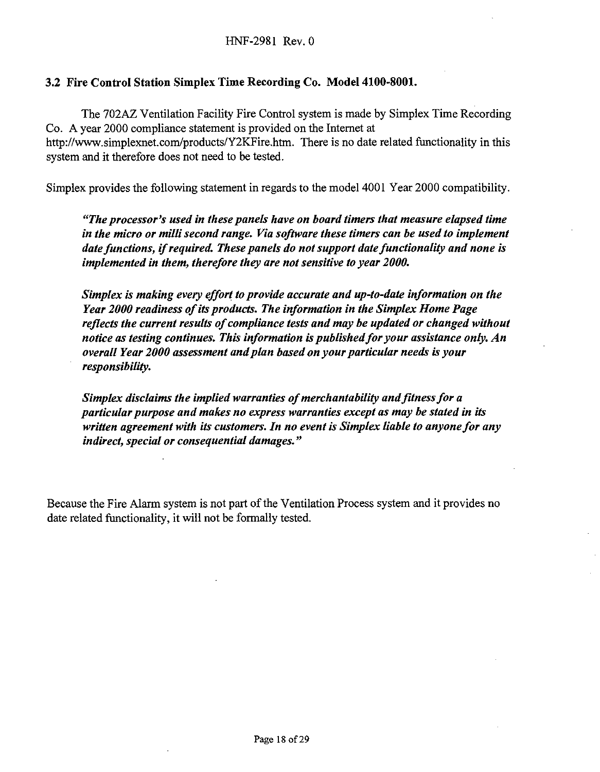#### **3.2 Fire Control Station Simplex Time Recording Co. Model 4100-8001.**

The 702AZ Ventilation Facility Fire Control system is made by Simplex Time Recording Co. A year 2000 compliance statement is provided on the Internet at

http://www.simplexnet.com/products/Y2KFire.htm. There is no date related functionality in this system and it therefore does not need to be tested.

Simplex provides the following statement in regards to the model 4001 Year 2000 compatibility.

*"The processor's used in these panels have on board timers that measure elapsed time in the micro or milli second range. Via software these timers can be used to implement date functions, if required. These panels do not support date functionality and none is implemented in them, therefore they are not sensitive to year 2000.*

*Simplex is making every effort to provide accurate and up-to-date information on the Year 2000 readiness of its products. The information in the Simplex Home Page reflects the current results of compliance tests and may be updated or changed without notice as testing continues. This information is published for your assistance only. An overall Year 2000 assessment and plan based on your particular needs is your responsibility.*

*Simplex disclaims the implied warranties of merchantability and fitness for a particular purpose and makes no express warranties except as may be stated in its written agreement with its customers. In no event is Simplex liable to anyone for any indirect, special or consequential damages."*

Because the Fire Alarm system is not part of the Ventilation Process system and it provides no date related functionality, it will not be formally tested.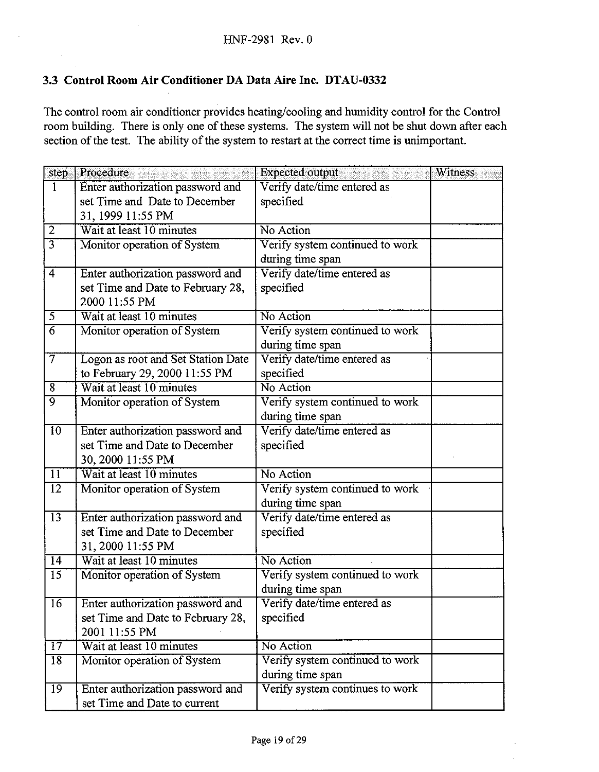## **3.3 Control Room Air Conditioner DA Data Aire Inc. DTAU-0332**

The control room air conditioner provides heating/cooling and humidity control for the Control room building. There is only one of these systems. The system will not be shut down after each section of the test. The ability of the system to restart at the correct time is unimportant.

| step                    | Procedure                          | <b>Expected</b> output          | <b>Witness</b> |
|-------------------------|------------------------------------|---------------------------------|----------------|
| 1                       | Enter authorization password and   | Verify date/time entered as     |                |
|                         | set Time and Date to December      | specified                       |                |
|                         | 31, 1999 11:55 PM                  |                                 |                |
| $\overline{c}$          | Wait at least 10 minutes           | No Action                       |                |
| $\overline{3}$          | Monitor operation of System        | Verify system continued to work |                |
|                         |                                    | during time span                |                |
| 4                       | Enter authorization password and   | Verify date/time entered as     |                |
|                         | set Time and Date to February 28,  | specified                       |                |
|                         | 2000 11:55 PM                      |                                 |                |
| 5                       | Wait at least 10 minutes           | No Action                       |                |
| $\overline{6}$          | Monitor operation of System        | Verify system continued to work |                |
|                         |                                    | during time span                |                |
| $\overline{7}$          | Logon as root and Set Station Date | Verify date/time entered as     |                |
|                         | to February 29, 2000 11:55 PM      | specified                       |                |
| $\overline{\mathbf{8}}$ | Wait at least 10 minutes           | No Action                       |                |
| 9                       | Monitor operation of System        | Verify system continued to work |                |
|                         |                                    | during time span                |                |
| 10                      | Enter authorization password and   | Verify date/time entered as     |                |
|                         | set Time and Date to December      | specified                       |                |
|                         | 30, 2000 11:55 PM                  |                                 |                |
| 11                      | Wait at least 10 minutes           | No Action                       |                |
| $\overline{12}$         | Monitor operation of System        | Verify system continued to work |                |
|                         |                                    | during time span                |                |
| $\overline{13}$         | Enter authorization password and   | Verify date/time entered as     |                |
|                         | set Time and Date to December      | specified                       |                |
|                         | 31, 2000 11:55 PM                  |                                 |                |
| 14                      | Wait at least 10 minutes           | No Action                       |                |
| $\overline{15}$         | Monitor operation of System        | Verify system continued to work |                |
|                         |                                    | during time span                |                |
| $\overline{16}$         | Enter authorization password and   | Verify date/time entered as     |                |
|                         | set Time and Date to February 28,  | specified                       |                |
|                         | 2001 11:55 PM                      |                                 |                |
| 17                      | Wait at least 10 minutes           | No Action                       |                |
| $\overline{18}$         | Monitor operation of System        | Verify system continued to work |                |
|                         |                                    | during time span                |                |
| 19                      | Enter authorization password and   | Verify system continues to work |                |
|                         | set Time and Date to current       |                                 |                |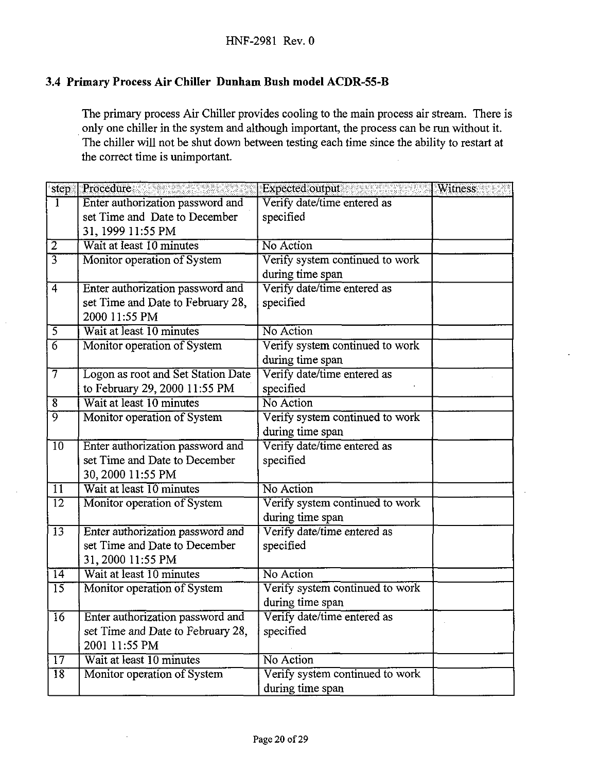## **3.4 Primary Process Air Chiller Dunham Bush model ACDR-55-B**

The primary process Air Chiller provides cooling to the main process air stream. There is only one chiller in the system and although important, the process can be run without it. The chiller will not be shut down between testing each time since the ability to restart at the correct time is unimportant.

| step                    | Procedure                          | <b>Witness</b><br><b>Expected output</b> |
|-------------------------|------------------------------------|------------------------------------------|
| T                       | Enter authorization password and   | Verify date/time entered as              |
|                         | set Time and Date to December      | specified                                |
|                         | 31, 1999 11:55 PM                  |                                          |
| $\overline{2}$          | Wait at least 10 minutes           | No Action                                |
| $\overline{3}$          | Monitor operation of System        | Verify system continued to work          |
|                         |                                    | during time span                         |
| 4                       | Enter authorization password and   | Verify date/time entered as              |
|                         | set Time and Date to February 28,  | specified                                |
|                         | 2000 11:55 PM                      |                                          |
| $\overline{5}$          | Wait at least 10 minutes           | No Action                                |
| $\overline{6}$          | Monitor operation of System        | Verify system continued to work          |
|                         |                                    | during time span                         |
| 7                       | Logon as root and Set Station Date | Verify date/time entered as              |
|                         | to February 29, 2000 11:55 PM      | specified                                |
| $\overline{\mathbf{8}}$ | Wait at least 10 minutes           | No Action                                |
| 5                       | Monitor operation of System        | Verify system continued to work          |
|                         |                                    | during time span                         |
| $\overline{10}$         | Enter authorization password and   | Verify date/time entered as              |
|                         | set Time and Date to December      | specified                                |
|                         | 30, 2000 11:55 PM                  |                                          |
| $\overline{11}$         | Wait at least 10 minutes           | No Action                                |
| $\overline{12}$         | Monitor operation of System        | Verify system continued to work          |
|                         |                                    | during time span                         |
| $\overline{13}$         | Enter authorization password and   | Verify date/time entered as              |
|                         | set Time and Date to December      | specified                                |
|                         | 31, 2000 11:55 PM                  |                                          |
| 14                      | Wait at least 10 minutes           | No Action                                |
| $\overline{15}$         | Monitor operation of System        | Verify system continued to work          |
|                         |                                    | during time span                         |
| $\overline{16}$         | Enter authorization password and   | Verify date/time entered as              |
|                         | set Time and Date to February 28,  | specified                                |
|                         | 2001 11:55 PM                      |                                          |
| $\overline{17}$         | Wait at least 10 minutes           | No Action                                |
| $\overline{18}$         | Monitor operation of System        | Verify system continued to work          |
|                         |                                    | during time span                         |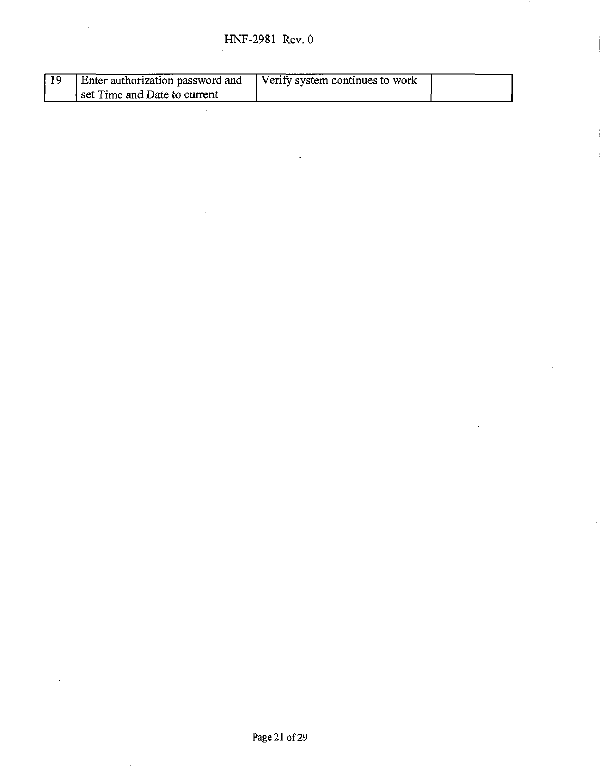| Enter authorization password and Verify system continues to work |  |
|------------------------------------------------------------------|--|
| set Time and Date to current                                     |  |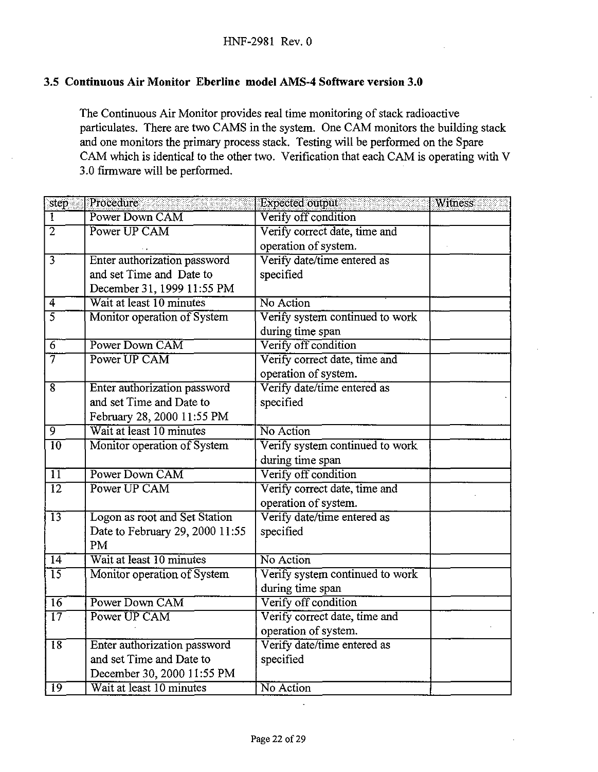#### **3.5 Continuous Air Monitor Eberline model AMS-4 Software version 3.0**

The Continuous Air Monitor provides real time monitoring of stack radioactive particulates. There are two CAMS in the system. One CAM monitors the building stack and one monitors the primary process stack. Testing will be performed on the Spare CAM which is identical to the other two. Verification that each CAM is operating with V 3.0 firmware will be performed.

| step                    | Procedure                       | <b>Expected</b> output          | Witness |
|-------------------------|---------------------------------|---------------------------------|---------|
| $\overline{1}$          | Power Down CAM                  | Verify off condition            |         |
| $\overline{2}$          | Power UP CAM                    | Verify correct date, time and   |         |
|                         |                                 | operation of system.            |         |
| $\overline{3}$          | Enter authorization password    | Verify date/time entered as     |         |
|                         | and set Time and Date to        | specified                       |         |
|                         | December 31, 1999 11:55 PM      |                                 |         |
| $\overline{4}$          | Wait at least 10 minutes        | No Action                       |         |
| $\overline{5}$          | Monitor operation of System     | Verify system continued to work |         |
|                         |                                 | during time span                |         |
| $\overline{6}$          | Power Down CAM                  | Verify off condition            |         |
| 7                       | Power UP CAM                    | Verify correct date, time and   |         |
|                         |                                 | operation of system.            |         |
| $\overline{\mathbf{8}}$ | Enter authorization password    | Verify date/time entered as     |         |
|                         | and set Time and Date to        | specified                       |         |
|                         | February 28, 2000 11:55 PM      |                                 |         |
| ज़                      | Wait at least 10 minutes        | No Action                       |         |
| $\overline{10}$         | Monitor operation of System     | Verify system continued to work |         |
|                         |                                 | during time span                |         |
| 11                      | Power Down CAM                  | Verify off condition            |         |
| $\overline{12}$         | Power UP CAM                    | Verify correct date, time and   |         |
|                         |                                 | operation of system.            |         |
| $\overline{13}$         | Logon as root and Set Station   | Verify date/time entered as     |         |
|                         | Date to February 29, 2000 11:55 | specified                       |         |
|                         | <b>PM</b>                       |                                 |         |
| $\overline{14}$         | Wait at least 10 minutes        | No Action                       |         |
| $\overline{15}$         | Monitor operation of System     | Verify system continued to work |         |
|                         |                                 | during time span                |         |
| $\overline{16}$         | Power Down CAM                  | Verify off condition            |         |
| 17                      | Power UP CAM                    | Verify correct date, time and   |         |
|                         |                                 | operation of system.            |         |
| $\overline{18}$         | Enter authorization password    | Verify date/time entered as     |         |
|                         | and set Time and Date to        | specified                       |         |
|                         | December 30, 2000 11:55 PM      |                                 |         |
| $\overline{19}$         | Wait at least 10 minutes        | No Action                       |         |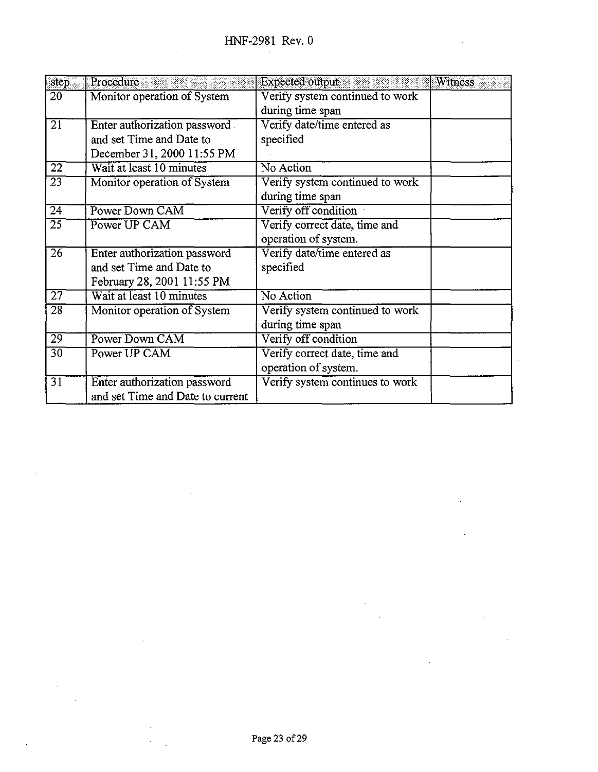| step            | Procedure                        | Expected output                 | <b>Witness</b> |
|-----------------|----------------------------------|---------------------------------|----------------|
| 20              | Monitor operation of System      | Verify system continued to work |                |
|                 |                                  | during time span                |                |
| $\overline{21}$ | Enter authorization password     | Verify date/time entered as     |                |
|                 | and set Time and Date to         | specified                       |                |
|                 | December 31, 2000 11:55 PM       |                                 |                |
| $\overline{22}$ | Wait at least 10 minutes         | No Action                       |                |
| 23              | Monitor operation of System      | Verify system continued to work |                |
|                 |                                  | during time span                |                |
| $\overline{24}$ | Power Down CAM                   | Verify off condition            |                |
| $\overline{25}$ | Power UP CAM                     | Verify correct date, time and   |                |
|                 |                                  | operation of system.            |                |
| 26              | Enter authorization password     | Verify date/time entered as     |                |
|                 | and set Time and Date to         | specified                       |                |
|                 | February 28, 2001 11:55 PM       |                                 |                |
| $\overline{27}$ | Wait at least 10 minutes         | No Action                       |                |
| 28              | Monitor operation of System      | Verify system continued to work |                |
|                 |                                  | during time span                |                |
| 29              | Power Down CAM                   | Verify off condition            |                |
| $\overline{30}$ | Power UP CAM                     | Verify correct date, time and   |                |
|                 |                                  | operation of system.            |                |
| 31              | Enter authorization password     | Verify system continues to work |                |
|                 | and set Time and Date to current |                                 |                |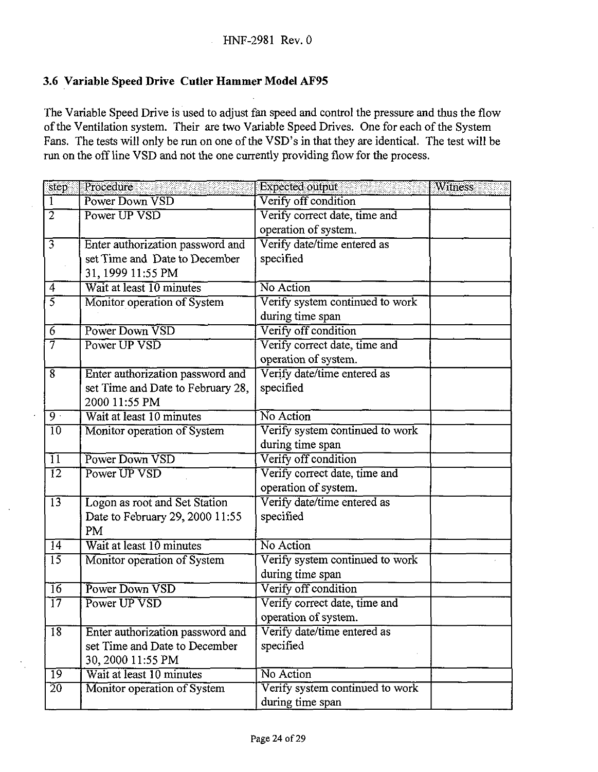## **3.6 Variable Speed Drive Cutler Hammer Model AF95**

The Variable Speed Drive is used to adjust fan speed and control the pressure and thus the flow of the Ventilation system. Their are two Variable Speed Drives. One for each of the System Fans. The tests will only be run on one of the VSD's in that they are identical. The test will be run on the off line VSD and not the one currently providing flow for the process.

| step                      | Procedure                         | <b>Expected output</b>          | Witness |
|---------------------------|-----------------------------------|---------------------------------|---------|
| $\mathbf{1}$              | Power Down VSD                    | Verify off condition            |         |
| 2                         | Power UP VSD                      | Verify correct date, time and   |         |
|                           |                                   | operation of system.            |         |
| $\overline{\overline{3}}$ | Enter authorization password and  | Verify date/time entered as     |         |
|                           | set Time and Date to December     | specified                       |         |
|                           | 31, 1999 11:55 PM                 |                                 |         |
| 4                         | Wait at least 10 minutes          | No Action                       |         |
| 5                         | Monitor operation of System       | Verify system continued to work |         |
|                           |                                   | during time span                |         |
| $\overline{6}$            | <b>Power Down VSD</b>             | Verify off condition            |         |
| 7                         | Power UP VSD                      | Verify correct date, time and   |         |
|                           |                                   | operation of system.            |         |
| $\overline{\mathbf{8}}$   | Enter authorization password and  | Verify date/time entered as     |         |
|                           | set Time and Date to February 28, | specified                       |         |
|                           | 2000 11:55 PM                     |                                 |         |
| $\overline{9}$ .          | Wait at least 10 minutes          | No Action                       |         |
| 10                        | Monitor operation of System       | Verify system continued to work |         |
|                           |                                   | during time span                |         |
| $\overline{11}$           | Power Down VSD                    | Verify off condition            |         |
| 12                        | Power UP VSD                      | Verify correct date, time and   |         |
|                           |                                   | operation of system.            |         |
| $\overline{13}$           | Logon as root and Set Station     | Verify date/time entered as     |         |
|                           | Date to February 29, 2000 11:55   | specified                       |         |
|                           | PM                                |                                 |         |
| $\overline{14}$           | Wait at least 10 minutes          | No Action                       |         |
| 15                        | Monitor operation of System       | Verify system continued to work |         |
|                           |                                   | during time span                |         |
| 16                        | Power Down VSD                    | Verify off condition            |         |
| 17                        | Power UP VSD                      | Verify correct date, time and   |         |
|                           |                                   | operation of system.            |         |
| $\overline{18}$           | Enter authorization password and  | Verify date/time entered as     |         |
|                           | set Time and Date to December     | specified                       |         |
|                           | 30, 2000 11:55 PM                 |                                 |         |
| 19                        | Wait at least 10 minutes          | No Action                       |         |
| $\overline{20}$           | Monitor operation of System       | Verify system continued to work |         |
|                           |                                   | during time span                |         |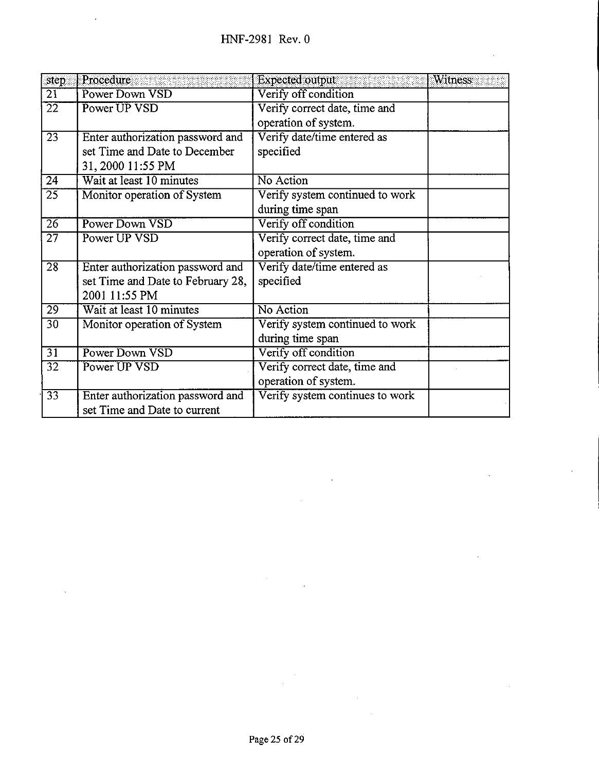| step            | Procedure                         | Expected output                 | Witness |
|-----------------|-----------------------------------|---------------------------------|---------|
| $\overline{21}$ | Power Down VSD                    | Verify off condition            |         |
| $\overline{22}$ | Power UP VSD                      | Verify correct date, time and   |         |
|                 |                                   | operation of system.            |         |
| $\overline{23}$ | Enter authorization password and  | Verify date/time entered as     |         |
|                 | set Time and Date to December     | specified                       |         |
|                 | 31, 2000 11:55 PM                 |                                 |         |
| 24              | Wait at least 10 minutes          | No Action                       |         |
| $\overline{25}$ | Monitor operation of System       | Verify system continued to work |         |
|                 |                                   | during time span                |         |
| $\overline{26}$ | Power Down VSD                    | Verify off condition            |         |
| $\overline{27}$ | Power UP VSD                      | Verify correct date, time and   |         |
|                 |                                   | operation of system.            |         |
| $\overline{28}$ | Enter authorization password and  | Verify date/time entered as     |         |
|                 | set Time and Date to February 28, | specified                       |         |
|                 | 2001 11:55 PM                     |                                 |         |
| 29              | Wait at least 10 minutes          | No Action                       |         |
| 30              | Monitor operation of System       | Verify system continued to work |         |
|                 |                                   | during time span                |         |
| $\overline{31}$ | Power Down VSD                    | Verify off condition            |         |
| $\overline{32}$ | Power UP VSD                      | Verify correct date, time and   |         |
|                 |                                   | operation of system.            |         |
| $\overline{33}$ | Enter authorization password and  | Verify system continues to work |         |
|                 | set Time and Date to current      |                                 |         |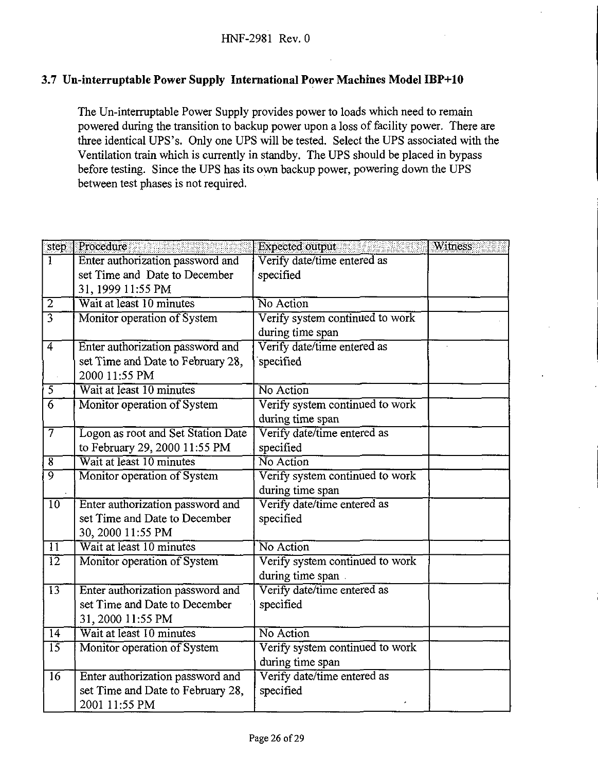### **3.7 Un-interruptable Power Supply International Power Machines Model IBP+10**

The Un-interruptable Power Supply provides power to loads which need to remain powered during the transition to backup power upon a loss of facility power. There are three identical UPS's. Only one UPS will be tested. Select the UPS associated with the Ventilation train which is currently in standby. The UPS should be placed in bypass before testing. Since the UPS has its own backup power, powering down the UPS between test phases is not required.

|                    | step Procedure                     | <b>Expected</b> output<br><b>Witness</b> |
|--------------------|------------------------------------|------------------------------------------|
| T                  | Enter authorization password and   | Verify date/time entered as              |
|                    | set Time and Date to December      | specified                                |
|                    | 31, 1999 11:55 PM                  |                                          |
| $\overline{2}$     | Wait at least 10 minutes           | No Action                                |
| $\overline{3}$     | Monitor operation of System        | Verify system continued to work          |
|                    |                                    | during time span                         |
| $\overline{4}$     | Enter authorization password and   | Verify date/time entered as              |
|                    | set Time and Date to February 28,  | specified                                |
|                    | 2000 11:55 PM                      |                                          |
| $\overline{5}$     | Wait at least 10 minutes           | No Action                                |
| $\overline{6}$     | Monitor operation of System        | Verify system continued to work          |
|                    |                                    | during time span                         |
| 7                  | Logon as root and Set Station Date | Verify date/time entered as              |
|                    | to February 29, 2000 11:55 PM      | specified                                |
| $\overline{\bf 8}$ | Wait at least 10 minutes           | No Action                                |
| व                  | Monitor operation of System        | Verify system continued to work          |
|                    |                                    | during time span                         |
| 10                 | Enter authorization password and   | Verify date/time entered as              |
|                    | set Time and Date to December      | specified                                |
|                    | 30, 2000 11:55 PM                  |                                          |
| $\overline{11}$    | Wait at least 10 minutes           | No Action                                |
| $\overline{12}$    | Monitor operation of System        | Verify system continued to work          |
|                    |                                    | during time span.                        |
| $\overline{13}$    | Enter authorization password and   | Verify date/time entered as              |
|                    | set Time and Date to December      | specified                                |
|                    | 31, 2000 11:55 PM                  |                                          |
| 14                 | Wait at least 10 minutes           | No Action                                |
| $\overline{15}$    | Monitor operation of System        | Verify system continued to work          |
|                    |                                    | during time span                         |
| $\overline{16}$    | Enter authorization password and   | Verify date/time entered as              |
|                    | set Time and Date to February 28,  | specified                                |
|                    | 2001 11:55 PM                      |                                          |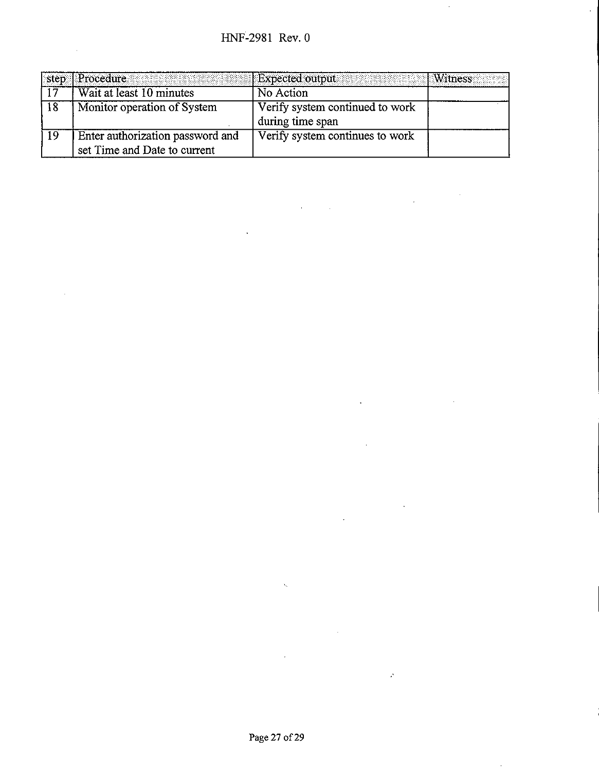¥.

|      | step   Procedure   Expected output   Witness |                                 |  |
|------|----------------------------------------------|---------------------------------|--|
| . 17 | Wait at least 10 minutes                     | No Action                       |  |
| 18   | Monitor operation of System                  | Verify system continued to work |  |
|      |                                              | during time span                |  |
| 19   | Enter authorization password and             | Verify system continues to work |  |
|      | set Time and Date to current                 |                                 |  |

l,

 $\label{eq:2.1} \frac{1}{\sqrt{2\pi}}\int_{\mathbb{R}^3}\frac{1}{\sqrt{2\pi}}\int_{\mathbb{R}^3}\frac{1}{\sqrt{2\pi}}\int_{\mathbb{R}^3}\frac{1}{\sqrt{2\pi}}\int_{\mathbb{R}^3}\frac{1}{\sqrt{2\pi}}\int_{\mathbb{R}^3}\frac{1}{\sqrt{2\pi}}\int_{\mathbb{R}^3}\frac{1}{\sqrt{2\pi}}\int_{\mathbb{R}^3}\frac{1}{\sqrt{2\pi}}\int_{\mathbb{R}^3}\frac{1}{\sqrt{2\pi}}\int_{\mathbb{R}^3}\frac{1$ 

 $\ddot{\phantom{a}}$ 

 $\bar{\mathcal{A}}$ 

 $\bar{\mathcal{L}}$ 

 $\boldsymbol{\beta}$ 

 $\ddot{\phantom{a}}$ 

 $\hat{\mathcal{A}}$ 

 $\bar{\zeta}$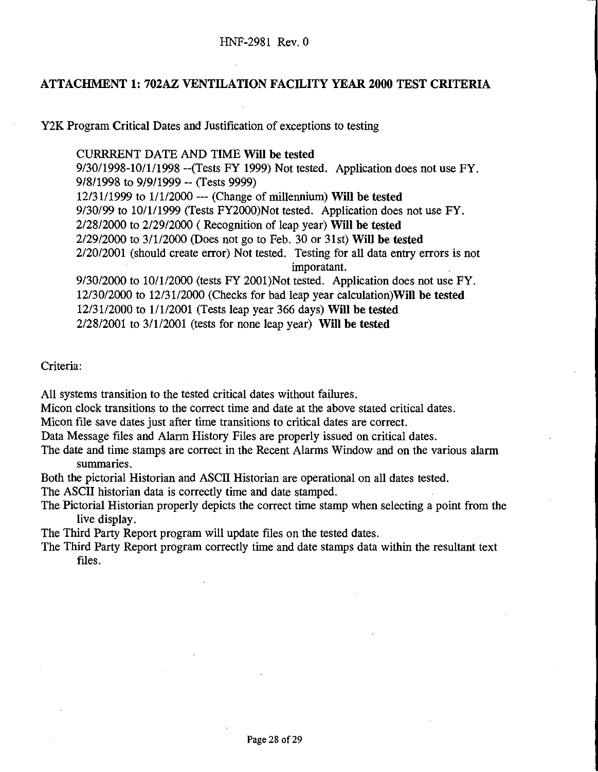#### **ATTACHMENT 1: 702AZ VENTILATION FACILITY YEAR 2000 TEST CRITERIA**

Y2K Program Critical Dates and Justification of exceptions to testing

CURRRENT DATE AND TIME **Will** be **tested** 9/30/1998-10/1/1998 -(Tests FY 1999) Not tested. Application does not use FY. 9/8/1998 to 9/9/1999 -- (Tests 9999) 12/31/1999 to 1/1/2000 — (Change of millennium) **Will** be **tested** 9/30/99 to 10/1/1999 (Tests FY2000)Not tested. Application does not use FY. 2/28/2000 to 2/29/2000 (Recognition of leap year) **Will be tested** 2/29/2000 to 3/1/2000 (Does not go to Feb. 30 or 31st) **Will be tested** 2/20/2001 (should create error) Not tested. Testing for all data entry errors is not imporatant. 9/30/2000 to 10/1/2000 (tests FY 2001)Not tested. Application does not use FY. 12/30/2000 to 12/31/2000 (Checks for bad leap year **calculation)Will be tested** 12/31/2000 to 1/1/2001 (Tests leap year 366 days) **Will** be **tested**

2/28/2001 to 3/1/2001 (tests for none leap year) **Will be tested**

Criteria:

All systems transition to the tested critical dates without failures.

Micon clock transitions to the correct time and date at the above stated critical dates.

Micon file save dates just after time transitions to critical dates are correct.

Data Message files and Alarm History Files are properly issued on critical dates.

The date and time stamps are correct in the Recent Alarms Window and on the various alarm summaries.

Both the pictorial Historian and ASCII Historian are operational on all dates tested.

The ASCII historian data is correctly time and date stamped.

The Pictorial Historian properly depicts the correct time stamp when selecting a point from the live display.

The Third Party Report program will update files on the tested dates.

The Third Party Report program correctly time and date stamps data within the resultant text files.